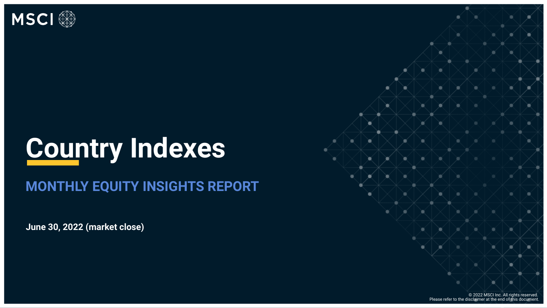

## **Country Indexes**

#### **MONTHLY EQUITY INSIGHTS REPORT**

**June 30, 2022 (market close)** 

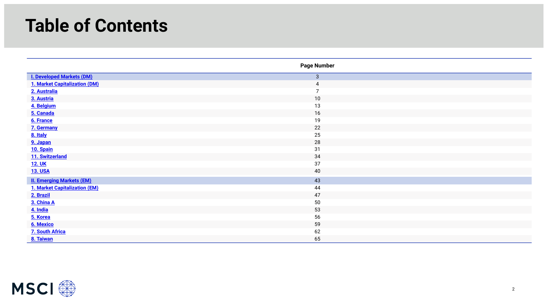### **Table of Contents**

<span id="page-1-0"></span>

|                                  | <b>Page Number</b> |
|----------------------------------|--------------------|
| <b>I. Developed Markets (DM)</b> | $\mathbf{3}$       |
| 1. Market Capitalization (DM)    | 4                  |
| 2. Australia                     | -                  |
| 3. Austria                       | 10                 |
| 4. Belgium                       | 13                 |
| 5. Canada                        | 16                 |
| 6. France                        | 19                 |
| 7. Germany                       | 22                 |
| 8. Italy                         | 25                 |
| 9. Japan                         | 28                 |
| 10. Spain                        | 31                 |
| 11. Switzerland                  | 34                 |
| <b>12. UK</b>                    | 37                 |
| <b>13. USA</b>                   | 40                 |
| <b>II. Emerging Markets (EM)</b> | 43                 |
| 1. Market Capitalization (EM)    | 44                 |
| 2. Brazil                        | 47                 |
| 3. China A                       | 50                 |
| 4. India                         | 53                 |
| 5. Korea                         | 56                 |
| 6. Mexico                        | 59                 |
| <b>7. South Africa</b>           | 62                 |
| 8. Taiwan                        | 65                 |

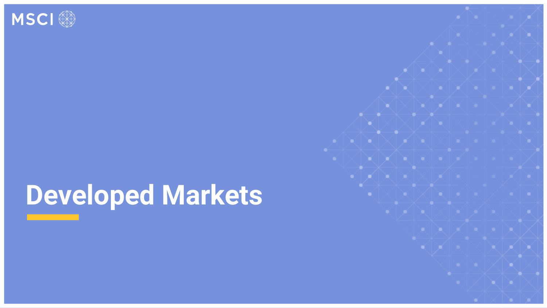<span id="page-2-0"></span>

## **Developed Markets**

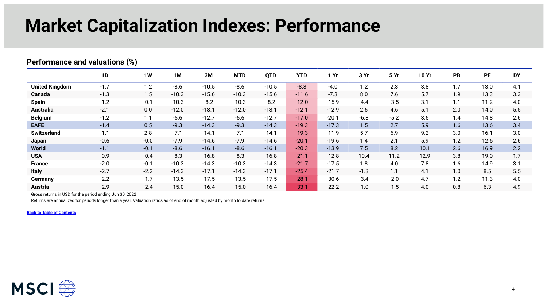### **Market Capitalization Indexes: Performance**

|                       | 1D     | 1W     | 1M      | 3M      | <b>MTD</b> | <b>QTD</b> | <b>YTD</b> | 1 Yr    | 3 Yr   | 5 Yr   | <b>10 Yr</b> | PB  | <b>PE</b> | <b>DY</b> |
|-----------------------|--------|--------|---------|---------|------------|------------|------------|---------|--------|--------|--------------|-----|-----------|-----------|
| <b>United Kingdom</b> | $-1.7$ | 1.2    | $-8.6$  | $-10.5$ | $-8.6$     | $-10.5$    | $-8.8$     | $-4.0$  | 1.2    | 2.3    | 3.8          | 1.7 | 13.0      | 4.1       |
| Canada                | $-1.3$ | 1.5    | $-10.3$ | $-15.6$ | $-10.3$    | $-15.6$    | $-11.6$    | $-7.3$  | 8.0    | 7.6    | 5.7          | 1.9 | 13.3      | 3.3       |
| <b>Spain</b>          | $-1.2$ | $-0.1$ | $-10.3$ | $-8.2$  | $-10.3$    | $-8.2$     | $-12.0$    | $-15.9$ | $-4.4$ | $-3.5$ | 3.1          | 1.1 | 11.2      | 4.0       |
| <b>Australia</b>      | $-2.1$ | 0.0    | $-12.0$ | $-18.1$ | $-12.0$    | $-18.1$    | $-12.1$    | $-12.9$ | 2.6    | 4.6    | 5.1          | 2.0 | 14.0      | 5.5       |
| <b>Belgium</b>        | $-1.2$ | 1.1    | $-5.6$  | $-12.7$ | $-5.6$     | $-12.7$    | $-17.0$    | $-20.1$ | $-6.8$ | $-5.2$ | 3.5          | 1.4 | 14.8      | 2.6       |
| <b>EAFE</b>           | $-1.4$ | 0.5    | $-9.3$  | $-14.3$ | $-9.3$     | $-14.3$    | $-19.3$    | $-17.3$ | 1.5    | 2.7    | 5.9          | 1.6 | 13.6      | 3.4       |
| <b>Switzerland</b>    | $-1.1$ | 2.8    | $-7.1$  | $-14.1$ | $-7.1$     | $-14.1$    | $-19.3$    | $-11.9$ | 5.7    | 6.9    | 9.2          | 3.0 | 16.1      | 3.0       |
| Japan                 | $-0.6$ | $-0.0$ | $-7.9$  | $-14.6$ | $-7.9$     | $-14.6$    | $-20.1$    | $-19.6$ | 1.4    | 2.1    | 5.9          | 1.2 | 12.5      | 2.6       |
| <b>World</b>          | $-1.1$ | $-0.1$ | $-8.6$  | $-16.1$ | $-8.6$     | $-16.1$    | $-20.3$    | $-13.9$ | 7.5    | 8.2    | 10.1         | 2.6 | 16.9      | 2.2       |
| <b>USA</b>            | $-0.9$ | $-0.4$ | $-8.3$  | $-16.8$ | $-8.3$     | $-16.8$    | $-21.1$    | $-12.8$ | 10.4   | 11.2   | 12.9         | 3.8 | 19.0      | 1.7       |
| <b>France</b>         | $-2.0$ | $-0.1$ | $-10.3$ | $-14.3$ | $-10.3$    | $-14.3$    | $-21.7$    | $-17.5$ | 1.8    | 4.0    | 7.8          | 1.6 | 14.9      | 3.1       |
| <b>Italy</b>          | $-2.7$ | $-2.2$ | $-14.3$ | $-17.1$ | $-14.3$    | $-17.1$    | $-25.4$    | $-21.7$ | $-1.3$ | 1.1    | 4.1          | 1.0 | 8.5       | 5.5       |
| Germany               | $-2.2$ | $-1.7$ | $-13.5$ | $-17.5$ | $-13.5$    | $-17.5$    | $-28.1$    | $-30.6$ | $-3.4$ | $-2.0$ | 4.7          | 1.2 | 11.3      | 4.0       |
| <b>Austria</b>        | $-2.9$ | $-2.4$ | $-15.0$ | $-16.4$ | $-15.0$    | $-16.4$    | $-33.1$    | $-22.2$ | $-1.0$ | $-1.5$ | 4.0          | 0.8 | 6.3       | 4.9       |

#### <span id="page-3-0"></span>**Performance and valuations (%)**

Gross returns in USD for the period ending Jun 30, 2022

Returns are annualized for periods longer than a year. Valuation ratios as of end of month adjusted by month to date returns.

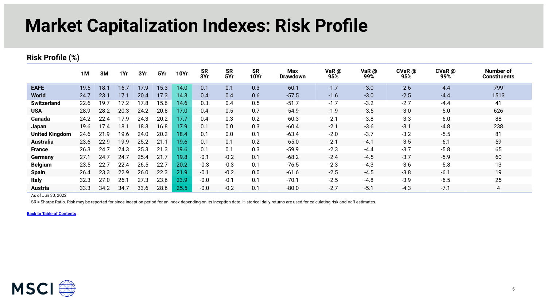### **Market Capitalization Indexes: Risk Profile**

#### **Risk Profile (%)**

|                       | 1M   | 3M   | 1Yr  | 3Yr  | 5Yr  | <b>10Yr</b> | <b>SR</b><br>3Yr | <b>SR</b><br>5Yr | <b>SR</b><br><b>10Yr</b> | <b>Max</b><br><b>Drawdown</b> | VaR @<br>95% | VaR $@$<br>99% | $CVaR$ $@$<br>95% | $CVaR$ $@$<br>99% | Number of<br><b>Constituents</b> |
|-----------------------|------|------|------|------|------|-------------|------------------|------------------|--------------------------|-------------------------------|--------------|----------------|-------------------|-------------------|----------------------------------|
| <b>EAFE</b>           | 19.5 | 18.1 | 16.7 | 17.9 | 15.3 | 14.0        | 0.1              | 0.1              | 0.3                      | $-60.1$                       | $-1.7$       | $-3.0$         | $-2.6$            | $-4.4$            | 799                              |
| World                 | 24.7 | 23.1 | 17.1 | 20.4 | 17.3 | 14.3        | 0.4              | 0.4              | 0.6                      | $-57.5$                       | $-1.6$       | $-3.0$         | $-2.5$            | $-4.4$            | 1513                             |
| <b>Switzerland</b>    | 22.6 | 19.7 | 17.2 | 17.8 | 15.6 | 14.6        | 0.3              | 0.4              | 0.5                      | $-51.7$                       | $-1.7$       | $-3.2$         | $-2.7$            | $-4.4$            | 41                               |
| <b>USA</b>            | 28.9 | 28.2 | 20.3 | 24.2 | 20.8 | 17.0        | 0.4              | 0.5              | 0.7                      | $-54.9$                       | $-1.9$       | $-3.5$         | $-3.0$            | $-5.0$            | 626                              |
| Canada                | 24.2 | 22.4 | 17.9 | 24.3 | 20.2 | 17.7        | 0.4              | 0.3              | 0.2                      | $-60.3$                       | $-2.1$       | $-3.8$         | $-3.3$            | $-6.0$            | 88                               |
| Japan                 | 19.6 | 17.4 | 18.1 | 18.3 | 16.8 | 17.9        | 0.1              | 0.0              | 0.3                      | $-60.4$                       | $-2.1$       | $-3.6$         | $-3.1$            | $-4.8$            | 238                              |
| <b>United Kingdom</b> | 24.6 | 21.9 | 19.6 | 24.0 | 20.2 | 18.4        | 0.1              | 0.0              | 0.1                      | $-63.4$                       | $-2.0$       | $-3.7$         | $-3.2$            | $-5.5$            | 81                               |
| <b>Australia</b>      | 23.6 | 22.9 | 19.9 | 25.2 | 21.1 | 19.6        | 0.1              | 0.1              | 0.2                      | $-65.0$                       | $-2.1$       | $-4.1$         | $-3.5$            | $-6.1$            | 59                               |
| <b>France</b>         | 26.3 | 24.7 | 24.3 | 25.3 | 21.3 | 19.6        | 0.1              | 0.1              | 0.3                      | $-59.9$                       | $-2.3$       | $-4.4$         | $-3.7$            | $-5.8$            | 65                               |
| Germany               | 27.1 | 24.7 | 24.7 | 25.4 | 21.7 | 19.8        | $-0.1$           | $-0.2$           | 0.1                      | $-68.2$                       | $-2.4$       | $-4.5$         | $-3.7$            | $-5.9$            | 60                               |
| <b>Belgium</b>        | 23.5 | 22.7 | 22.4 | 26.5 | 22.7 | 20.2        | $-0.3$           | $-0.3$           | 0.1                      | $-76.5$                       | $-2.3$       | $-4.3$         | $-3.6$            | $-5.8$            | 13                               |
| <b>Spain</b>          | 26.4 | 23.3 | 22.9 | 26.0 | 22.3 | 21.9        | $-0.1$           | $-0.2$           | 0.0                      | $-61.6$                       | $-2.5$       | $-4.5$         | $-3.8$            | $-6.1$            | 19                               |
| <b>Italy</b>          | 32.3 | 27.0 | 26.1 | 27.3 | 23.6 | 23.9        | $-0.0$           | $-0.1$           | 0.1                      | $-70.1$                       | $-2.5$       | $-4.8$         | $-3.9$            | $-6.5$            | 25                               |
| <b>Austria</b>        | 33.3 | 34.2 | 34.7 | 33.6 | 28.6 | 25.5        | $-0.0$           | $-0.2$           | 0.1                      | $-80.0$                       | $-2.7$       | $-5.1$         | $-4.3$            | $-7.1$            | 4                                |

As of Jun 30, 2022

SR = Sharpe Ratio. Risk may be reported for since inception period for an index depending on its inception date. Historical daily returns are used for calculating risk and VaR estimates.

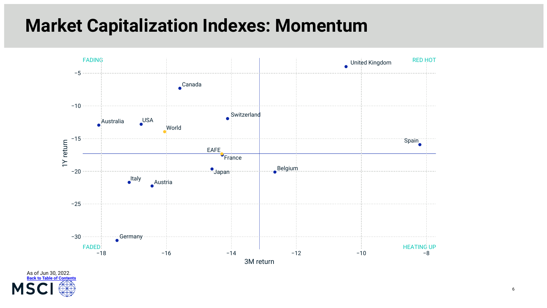### **Market Capitalization Indexes: Momentum**



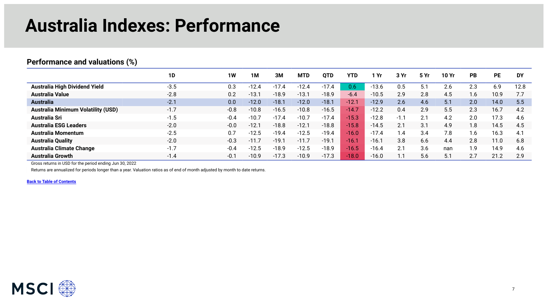### **Australia Indexes: Performance**

#### <span id="page-6-0"></span>**Performance and valuations (%)**

|                                           | 1D     | <b>1W</b> | 1M      | 3M      | <b>MTD</b> | <b>QTD</b> | YTD     | ∣ Yr    | 3 Yr   | 5 Yr | 10 Yr | <b>PB</b> | <b>PE</b> | <b>DY</b> |
|-------------------------------------------|--------|-----------|---------|---------|------------|------------|---------|---------|--------|------|-------|-----------|-----------|-----------|
| <b>Australia High Dividend Yield</b>      | $-3.5$ | 0.3       | -12.4   | 17.4    | $-12.4$    | $-17.4$    | 0.6     | $-13.6$ | 0.5    |      | 2.6   | 2.3       | 6.9       | 12.8      |
| <b>Australia Value</b>                    | $-2.8$ | 0.2       | $-13.1$ | $-18.9$ | $-13.1$    | $-18.9$    | $-6.4$  | $-10.5$ | 2.9    | 2.8  | 4.5   | 1.6       | 10.9      |           |
| <b>Australia</b>                          | $-2.1$ | 0.0       | $-12.0$ | $-18.1$ | $-12.0$    | $-18.1$    | $-12.1$ | $-12.9$ | 2.6    | 4.6  | 5.1   | 2.0       | 14.0      | 5.5       |
| <b>Australia Minimum Volatility (USD)</b> | $-1.7$ | $-0.8$    | $-10.8$ | $-16.5$ | $-10.8$    | $-16.5$    | $-14.7$ | $-12.2$ | 0.4    | 2.9  | 5.5   | 2.3       | 16.7      | 4.2       |
| <b>Australia Sri</b>                      | $-1.5$ | $-0.4$    | $-10.7$ | $-17.4$ | $-10.7$    | $-17.4$    | $-15.3$ | $-12.8$ | $-1.1$ | 2.1  | 4.2   | 2.0       | 17.3      | 4.6       |
| <b>Australia ESG Leaders</b>              | $-2.0$ | $-0.0$    | -12.1   | $-18.8$ | $-12.7$    | $-18.8$    | $-15.8$ | $-14.5$ | 2.1    | 3.1  | 4.9   | 1.8       | 14.5      | 4.5       |
| Australia Momentum                        | $-2.5$ | 0.7       | $-12.5$ | $-19.4$ | $-12.5$    | $-19.4$    | $-16.0$ | $-17.4$ | 1.4    | 3.4  | 7.8   | 1.6       | 16.3      | 4.1       |
| <b>Australia Quality</b>                  | $-2.0$ | $-0.3$    | $-11.7$ | $-19.7$ | $-11.7$    | $-19.1$    | $-16.7$ | $-16.7$ | 3.8    | 6.6  | 4.4   | 2.8       | 11.0      | 6.8       |
| <b>Australia Climate Change</b>           | $-1.7$ | $-0.4$    | $-12.5$ | $-18.9$ | $-12.5$    | $-18.9$    | $-16.5$ | $-16.4$ | 2.1    | 3.6  | nan   | 1.9       | 14.9      | 4.6       |
| <b>Australia Growth</b>                   | $-1.4$ | $-0.1$    | $-10.9$ | $-17.3$ | $-10.9$    | $-17.3$    | $-18.0$ | $-16.0$ | 1.1    | 5.6  | 5.1   | 2.7       | 21.2      | 2.9       |

Gross returns in USD for the period ending Jun 30, 2022

Returns are annualized for periods longer than a year. Valuation ratios as of end of month adjusted by month to date returns.

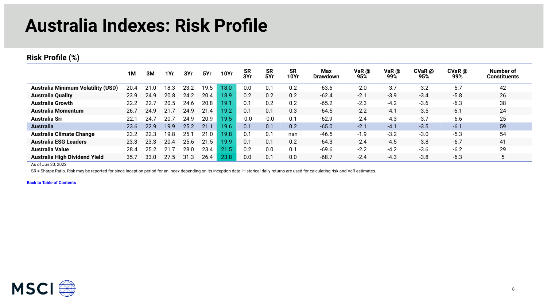### **Australia Indexes: Risk Profile**

#### **Risk Profile (%)**

|                                           | <b>1M</b> | 3M   | 1Yr  | 3Yr  | 5Yr  | <b>10Yr</b> | <b>SR</b><br>3Yr | <b>SR</b><br>5Yr | <b>SR</b><br><b>10Yr</b> | Max<br><b>Drawdown</b> | VaR @<br>95% | VaR $@$<br>99% | $CVaR$ @<br>95% | $CVaR$ @<br>99% | Number of<br>Constituents |
|-------------------------------------------|-----------|------|------|------|------|-------------|------------------|------------------|--------------------------|------------------------|--------------|----------------|-----------------|-----------------|---------------------------|
| <b>Australia Minimum Volatility (USD)</b> | 20.4      |      | 18.3 | 23.2 | 19.5 | 18.0        | 0.0              | 0.1              | 0.2                      | $-63.6$                | $-2.0$       | $-3.7$         | $-3.2$          | $-5.7$          | 42                        |
| <b>Australia Quality</b>                  | 23.9      | 24.9 | 20.8 | 24.2 | 20.4 | 18.9        | 0.2              | 0.2              | 0.2                      | $-62.4$                | $-2.1$       | $-3.9$         | $-3.4$          | $-5.8$          | 26                        |
| <b>Australia Growth</b>                   | 22.2      | 22.7 | 20.5 | 24.6 | 20.8 | 19.1        | 0.1              | 0.2              | 0.2                      | $-65.2$                | $-2.3$       | $-4.2$         | $-3.6$          | $-6.3$          | 38                        |
| Australia Momentum                        | 26.7      | 24.9 | 21.5 | 24.9 | 21.4 | 19.2        | 0.1              | 0.1              | 0.3                      | $-64.5$                | $-2.2$       | $-4.1$         | $-3.5$          | $-6.1$          | 24                        |
| Australia Sri                             | 22.1      | 24.7 | 20.  | 24.9 | 20.9 | 19.5        | $-0.0$           | $-0.0$           | 0.1                      | $-62.9$                | $-2.4$       | $-4.3$         | $-3.7$          | $-6.6$          | 25                        |
| <b>Australia</b>                          | 23.6      | 22.9 | 19.9 | 25.2 | 21.1 | 19.6        | 0.1              | 0.1              | 0.2                      | $-65.0$                | $-2.1$       | $-4.1$         | $-3.5$          | $-6.1$          | 59                        |
| <b>Australia Climate Change</b>           | 23.2      | 22.3 | 19.8 | 25.1 | 21.0 | 19.8        | 0.1              | 0.1              | nan                      | $-46.5$                | $-1.9$       | $-3.2$         | $-3.0$          | $-5.3$          | 54                        |
| <b>Australia ESG Leaders</b>              | 23.3      | 23.3 | 20.4 | 25.6 | 21.5 | 19.9        | 0.1              | 0.1              | 0.2                      | $-64.3$                | $-2.4$       | $-4.5$         | $-3.8$          | $-6.7$          | 41                        |
| Australia Value                           | 28.4      | 25.2 |      | 28.0 | 23.4 | 21.5        | 0.2              | 0.0              | 0.1                      | $-69.6$                | $-2.2$       | $-4.2$         | $-3.6$          | $-6.2$          | 29                        |
| <b>Australia High Dividend Yield</b>      | 35.7      | 33.0 | 27.5 | 31.3 | 26.4 | 23.8        | 0.0              | 0.1              | 0.0                      | $-68.7$                | $-2.4$       | $-4.3$         | $-3.8$          | $-6.3$          | 5                         |

As of Jun 30, 2022

SR = Sharpe Ratio. Risk may be reported for since inception period for an index depending on its inception date. Historical daily returns are used for calculating risk and VaR estimates.

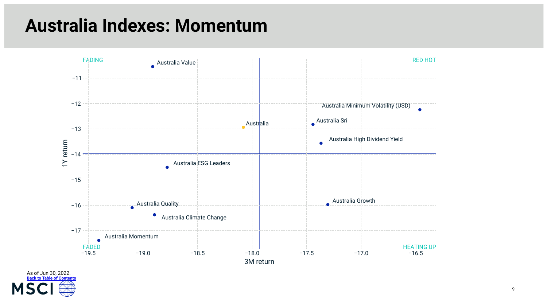### **Australia Indexes: Momentum**



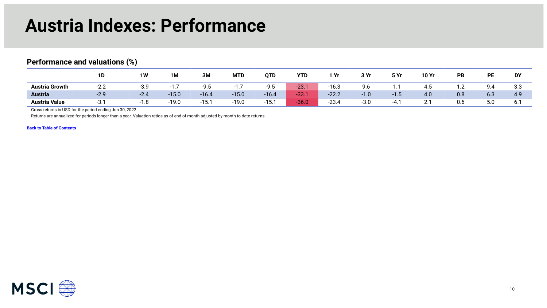#### **Austria Indexes: Performance**

|                       | 1D                                         | 1W     | <b>1M</b>       | 3M           | <b>MTD</b>      | <b>QTD</b>      | <b>YTD</b> | 1 Yr    | 3 Yr   | 5 Yr   | 10 Yr   | PB      | <b>PE</b> | <b>DY</b>        |
|-----------------------|--------------------------------------------|--------|-----------------|--------------|-----------------|-----------------|------------|---------|--------|--------|---------|---------|-----------|------------------|
| <b>Austria Growth</b> | $\sim$ $\sim$<br>$\sim$ $\prime$<br>$\sim$ | -3.9   | . –<br>- 1<br>. | $-QF$<br>ン・つ | - 1<br>$\cdots$ | $-9.5$          | $-23.$     | $-16.3$ | 9.6    | . .    | 4.J     | $\cdot$ | 9.4       | <b>CC</b><br>.ა. |
| <b>Austria</b>        | $-2.9$                                     | $-2.4$ | $-15.0$         | $-16.4$      | $-15.0$         | $-16.4$         | <b>831</b> | $-22.2$ | $-1.0$ | $-1.5$ | 4.0     | 0.8     | 6.3       | 4.9              |
| <b>Austria Value</b>  | ార                                         | ا      | $-19.0$         | $-15.$       | $-19.0$         | 1.5.1<br>$-15.$ | 36.0       | $-23.4$ | $-3.0$ |        | <u></u> | 0.6     | 5.0       | b. .             |

#### <span id="page-9-0"></span>**Performance and valuations (%)**

Gross returns in USD for the period ending Jun 30, 2022

Returns are annualized for periods longer than a year. Valuation ratios as of end of month adjusted by month to date returns.

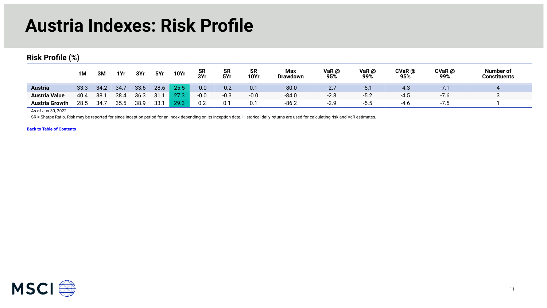### **Austria Indexes: Risk Profile**

**Risk Profile (%)** 

|                       | <b>1M</b> | 3M   | 1Yr  | 3Yr  | 5Yr  | <b>10Yr</b> | <b>SR</b><br>3Yr | <b>SR</b><br>5Yr | SR<br><b>10Yr</b> | <b>Max</b><br><b>Drawdown</b> | VaR @<br>95%                                | VaR @<br>99% | $CVaR$ @<br>95% | CVaR @<br>99% | <b>Number of</b><br>Constituents |
|-----------------------|-----------|------|------|------|------|-------------|------------------|------------------|-------------------|-------------------------------|---------------------------------------------|--------------|-----------------|---------------|----------------------------------|
| <b>Austria</b>        | 33.3      | 34.2 | 34.7 | 33.6 | 28.6 | 25.5        | $-0.0$           | $-0.2$           | 0.1               | $-80.0$                       | $\cap$ $\overline{\phantom{0}}$<br><u>.</u> | $-5.1$       | $-4.3$          | $\cdot$ .     |                                  |
| <b>Austria Value</b>  | 40.4      | 38.7 | 38.4 | 36.3 | 31   | 27.3        | $-0.0$           | $-0.3$           | $-0.0$            | $-84.0$                       | $-2.8$                                      | $-5.2$       | $-4.5$          | $-7.0$        |                                  |
| <b>Austria Growth</b> | 28.5      | 34.7 | 35.5 | 38.9 | 33.1 | 29.3        | 0.2              | 0.1              | 0.1               | $-86.2$                       | $-2.9$                                      | -5.5         | $-4.6$          | ن. ،          |                                  |

As of Jun 30, 2022

SR = Sharpe Ratio. Risk may be reported for since inception period for an index depending on its inception date. Historical daily returns are used for calculating risk and VaR estimates.

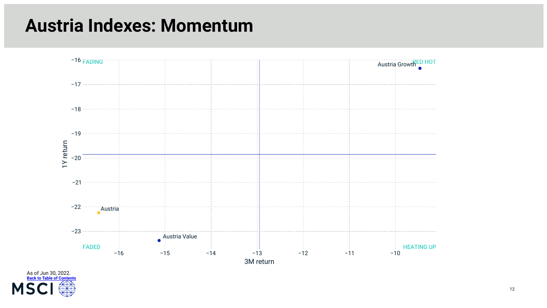#### **Austria Indexes: Momentum**



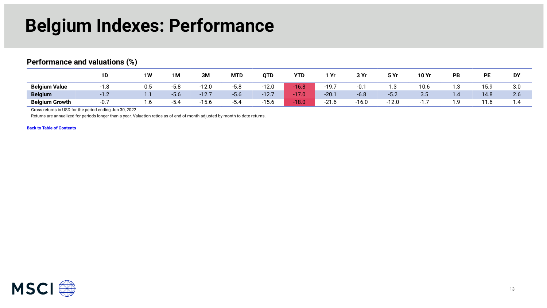### **Belgium Indexes: Performance**

#### <span id="page-12-0"></span>**Performance and valuations (%)**

|                       | 1D                                             | 1W       | <b>1M</b> | 3M             | <b>MTD</b> | <b>QTD</b> | <b>YTD</b> | `Yr                    | 3 Vr    | 5 Yr    | <b>10 Yr</b> | PB  | DF   | DY         |
|-----------------------|------------------------------------------------|----------|-----------|----------------|------------|------------|------------|------------------------|---------|---------|--------------|-----|------|------------|
| <b>Belgium Value</b>  | ്റ<br>-1.0                                     | บ.๖      | $-5.8$    | າາດ<br>-12.U   | $-5.8$     | $-12.0$    | $-16.8$    | $-19.7$                | -u. .   | 5. ا    | 10.6         | ı.З | 15.9 | 3.0        |
| <b>Belgium</b>        | $\sim$<br>. .<br>$\mathsf{L} \cdot \mathsf{L}$ | $\cdots$ | $-5.6$    | $-12.7$        | $-5.6$     | $-12.7$    | $-17.0$    | $-20.1$                | $-6.8$  | $-5.2$  | 3.5          | 1.4 | 14.8 | 2.6        |
| <b>Belgium Growth</b> | -0.,                                           | ن. ا     | ىي.       | 10C<br>$-15.0$ | -5.4       | $-15.6$    | $-18.0$    | $\mathbf{A}$<br>−∠ I.U | $-16.0$ | $-12.0$ |              | ` വ | 11.6 | $\cdot$ .4 |

Gross returns in USD for the period ending Jun 30, 2022

Returns are annualized for periods longer than a year. Valuation ratios as of end of month adjusted by month to date returns.

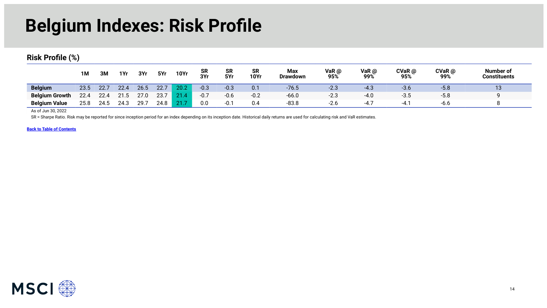### **Belgium Indexes: Risk Profile**

**Risk Profile (%)** 

|                       | 1M   | 3M   | 1Yr  | 3Yr  | 5Yr  | <b>10Yr</b> | SR<br>3Yr | <b>SR</b><br>5Yr | <b>SR</b><br><b>10Yr</b> | Max<br><b>Drawdown</b> | VaR $@$<br>95% | VaR @<br>99% | CVaR@<br>95% | CVaR @<br>99% | <b>Number of</b><br>Constituents |
|-----------------------|------|------|------|------|------|-------------|-----------|------------------|--------------------------|------------------------|----------------|--------------|--------------|---------------|----------------------------------|
| <b>Belgium</b>        | 23.5 | 22.1 | 22.4 | 26.5 | 22.7 | 20.2        | $-0.3$    | $-0.3$           | 0.1                      | $-76.5$                | $-2.3$         | $-4.3$       | $-3.6$       | $-5.8$        | 13                               |
| <b>Belgium Growth</b> | 22.4 | 22.4 | 21.5 | 27.0 | 23.7 | 21.4        | $-0.7$    | $-0.6$           | $-0.2$                   | $-66.0$                | $-2.3$         | $-4.0$       | $-3.5$       | $-5.8$        |                                  |
| <b>Belgium Value</b>  | 25.8 | 24.5 | 24.3 | 29.7 | 24.8 | 21.7        | 0.0       | $-0.7$           | 0.4                      | $-83.8$                | $-2.6$         | $-4.7$       | $-4.1$       | -6.6          |                                  |

As of Jun 30, 2022

SR = Sharpe Ratio. Risk may be reported for since inception period for an index depending on its inception date. Historical daily returns are used for calculating risk and VaR estimates.

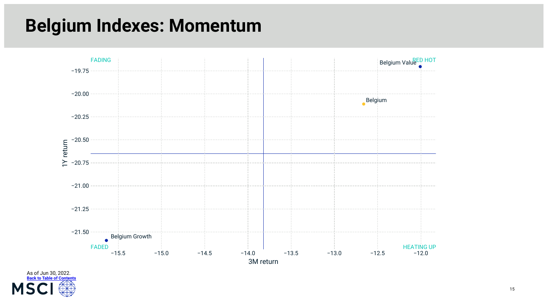## **Belgium Indexes: Momentum**



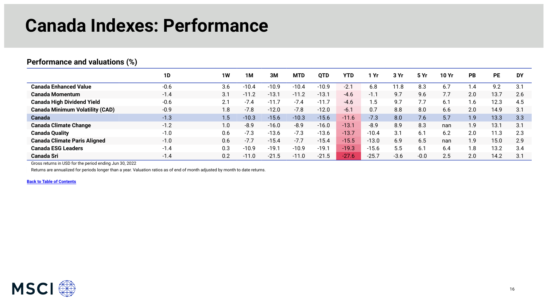### **Canada Indexes: Performance**

#### **1D 1W 1M 3M MTD QTD YTD 1 Yr 3 Yr 5 Yr 10 Yr PB PE DY Canada Enhanced Value** -0.6 3.6 -10.4 -10.9 -10.4 -10.9 -2.1 6.8 11.8 8.3 6.7 1.4 9.2 3.1 **Canada Momentum** -1.4 3.1 -11.2 -13.1 -11.2 -13.1 -4.6 -1.1 9.7 9.6 7.7 2.0 13.7 2.6 **Canada High Dividend Yield** -0.6 2.1 -7.4 -11.7 -7.4 -11.7 -4.6 1.5 9.7 7.7 6.1 1.6 12.3 4.5 **Canada Minimum Volatility (CAD)** -0.9 1.8 -7.8 -12.0 -7.8 -12.0 -6.1 0.7 8.8 8.0 6.6 2.0 14.9 3.1 **Canada** -1.3 1.5 -10.3 -15.6 -10.3 -15.6 -11.6 -7.3 8.0 7.6 5.7 1.9 13.3 3.3 **Canada Climate Change** -1.2 1.0 -8.9 -16.0 -8.9 -16.0 -13.1 -8.9 8.9 8.3 nan 1.9 13.1 3.1 **Canada Quality** -1.0 0.6 -7.3 -13.6 -7.3 -13.6 -13.7 -10.4 3.1 6.1 6.2 2.0 11.3 2.3 **Canada Climate Paris Aligned** -1.0 0.6 -7.7 -15.4 -7.7 -15.4 -15.5 -13.0 6.9 6.5 nan 1.9 15.0 2.9 **Canada ESG Leaders** -1.4 0.3 -10.9 -19.1 -10.9 -19.1 -19.3 -15.6 5.5 6.1 6.4 1.8 13.2 3.4 **Canada Sri** -1.4 0.2 -11.0 -21.5 -11.0 -21.5 -27.6 -25.7 -3.6 -0.0 2.5 2.0 14.2 3.1

<span id="page-15-0"></span>**Performance and valuations (%)** 

Gross returns in USD for the period ending Jun 30, 2022

Returns are annualized for periods longer than a year. Valuation ratios as of end of month adjusted by month to date returns.

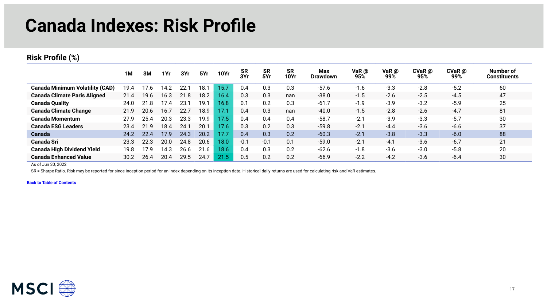### **Canada Indexes: Risk Profile**

#### **Risk Profile (%)**

|                                        | 1M   | 3M   | 1Yr  | 3Yr  | 5Yr  | <b>10Yr</b> | <b>SR</b><br>3Yr | <b>SR</b><br>5Yr | <b>SR</b><br>10Yr | <b>Max</b><br><b>Drawdown</b> | VaR @<br>95% | VaR $\omega$<br>99% | $CVaR$ @<br>95% | $CVaR$ @<br>99% | Number of<br><b>Constituents</b> |
|----------------------------------------|------|------|------|------|------|-------------|------------------|------------------|-------------------|-------------------------------|--------------|---------------------|-----------------|-----------------|----------------------------------|
| <b>Canada Minimum Volatility (CAD)</b> | 19.4 | 17.6 | 14.2 | 22.7 | 18.1 | 15.7        | 0.4              | 0.3              | 0.3               | $-57.6$                       | $-1.6$       | $-3.3$              | $-2.8$          | $-5.2$          | 60                               |
| <b>Canada Climate Paris Aligned</b>    | 21.4 | 19.6 | 16.3 | 21.8 | 18.2 | 16.4        | 0.3              | 0.3              | nan               | $-38.0$                       | $-1.5$       | $-2.6$              | $-2.5$          | $-4.5$          | 47                               |
| <b>Canada Quality</b>                  | 24.0 | 21.8 | 17.4 | 23.  | 19.1 | 16.8        | 0.1              | 0.2              | 0.3               | $-61.7$                       | $-1.9$       | $-3.9$              | $-3.2$          | $-5.9$          | 25                               |
| <b>Canada Climate Change</b>           | 21.9 | 20.6 | 16.7 | 22.7 | 18.9 | 17.1        | 0.4              | 0.3              | nan               | $-40.0$                       | $-1.5$       | $-2.8$              | $-2.6$          | $-4.7$          | 81                               |
| <b>Canada Momentum</b>                 | 27.9 | 25.4 | 20.3 | 23.3 | 19.9 | 17.5        | 0.4              | 0.4              | 0.4               | $-58.7$                       | $-2.1$       | $-3.9$              | $-3.3$          | $-5.7$          | 30                               |
| <b>Canada ESG Leaders</b>              | 23.4 | 21.9 | 18.4 | 24.7 | 20.1 | 17.6        | 0.3              | 0.2              | 0.3               | $-59.8$                       | $-2.1$       | $-4.4$              | $-3.6$          | $-6.6$          | 37                               |
| <b>Canada</b>                          | 24.2 | 22.4 | 17.9 | 24.3 | 20.2 | 17.7        | 0.4              | 0.3              | 0.2               | $-60.3$                       | $-2.1$       | $-3.8$              | $-3.3$          | $-6.0$          | 88                               |
| <b>Canada Sri</b>                      | 23.3 | 22.3 | 20.0 | 24.8 | 20.6 | 18.0        | $-0.1$           | $-0.1$           | 0.1               | $-59.0$                       | $-2.1$       | $-4.1$              | $-3.6$          | $-6.7$          | 21                               |
| <b>Canada High Dividend Yield</b>      | 19.8 | 17.9 | 14.3 | 26.6 | .6   | 18.6        | 0.4              | 0.3              | 0.2               | $-62.6$                       | $-1.8$       | $-3.6$              | $-3.0$          | $-5.8$          | 20                               |
| <b>Canada Enhanced Value</b>           | 30.2 | 26.4 | 20.4 | 29.5 | 24.7 | 21.5        | 0.5              | 0.2              | 0.2               | $-66.9$                       | $-2.2$       | $-4.2$              | $-3.6$          | $-6.4$          | 30                               |

As of Jun 30, 2022

SR = Sharpe Ratio. Risk may be reported for since inception period for an index depending on its inception date. Historical daily returns are used for calculating risk and VaR estimates.

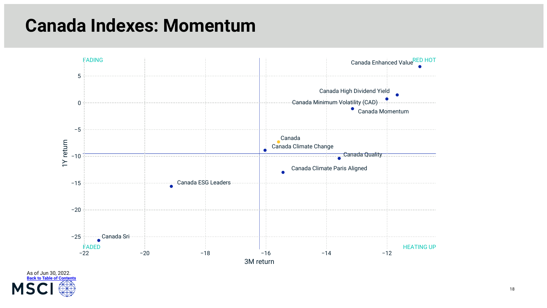#### **Canada Indexes: Momentum**



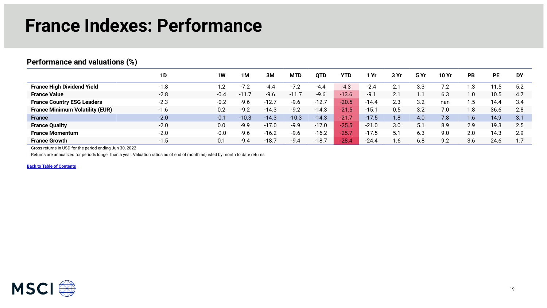### **France Indexes: Performance**

#### <span id="page-18-0"></span>**Performance and valuations (%)**

|                                        | 1D     | <b>1W</b> | 1M      | ЗM      | <b>MTD</b>       | QTD     | YTD     | Yr      | 3 Yr | 5 Yr | 10 Yr | <b>PB</b> | <b>PE</b> | <b>DY</b> |
|----------------------------------------|--------|-----------|---------|---------|------------------|---------|---------|---------|------|------|-------|-----------|-----------|-----------|
| <b>France High Dividend Yield</b>      | $-1.8$ | . .2      | $-7.2$  | -4.4    | $-7.2$           | -4.4    | $-4.3$  | $-2.4$  | 2.   | 3.3  | 7.2   | .3        | l 1.5     | 5.2       |
| <b>France Value</b>                    | $-2.8$ | $-0.4$    | $-11.7$ | $-9.6$  | $\setminus$ -11. | $-9.6$  | $-13.6$ | $-9.1$  | 2.1  |      | 6.3   | 1.0       | 10.5      | 4.7       |
| <b>France Country ESG Leaders</b>      | $-2.3$ | $-0.2$    | $-9.6$  | $-12.7$ | $-9.6$           | $-12.7$ | $-20.5$ | $-14.4$ | 2.3  | 3.2  | nan   | . . 5     | 14.4      | 3.4       |
| <b>France Minimum Volatility (EUR)</b> | $-1.6$ | 0.2       | $-9.2$  | $-14.3$ | $-9.2$           | $-14.3$ | $-21.5$ | $-15.1$ | 0.5  | 3.2  | 7.0   | .8.       | 36.6      | 2.8       |
| <b>France</b>                          | $-2.0$ | $-0.1$    | $-10.3$ | $-14.3$ | $-10.3$          | $-14.3$ | $-21.7$ | $-17.5$ | 1.8  | 4.0  | 7.8   | 1.6       | 14.9      | 3.1       |
| <b>France Quality</b>                  | $-2.0$ | 0.0       | $-9.9$  | $-17.0$ | $-9.9$           | $-17.0$ | $-25.5$ | $-21.0$ | 3.0  | 5.1  | 8.9   | 2.9       | 19.3      | 2.5       |
| <b>France Momentum</b>                 | $-2.0$ | $-0.0$    | $-9.6$  | $-16.2$ | $-9.6$           | $-16.2$ | $-25.7$ | $-17.5$ | 5.7  | 6.3  | 9.0   | 2.0       | 14.3      | 2.9       |
| <b>France Growth</b>                   | $-1.5$ | 0.1       | $-9.4$  | $-18.7$ | $-9.4$           | $-18.7$ | $-28.4$ | $-24.4$ | 1.6  | 6.8  | 9.2   | 3.6       | 24.6      |           |

Gross returns in USD for the period ending Jun 30, 2022

Returns are annualized for periods longer than a year. Valuation ratios as of end of month adjusted by month to date returns.

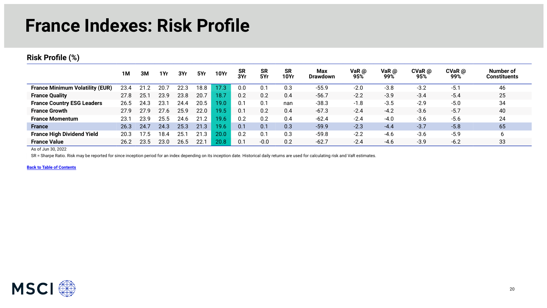### **France Indexes: Risk Profile**

#### **Risk Profile (%)**

|                                        | 1M   | 3M   | 1Yr  | 3Yr  | 5Yr             | <b>10Yr</b> | <b>SR</b><br>3Yr | <b>SR</b><br>5Yr | <b>SR</b><br><b>10Yr</b> | Max<br><b>Drawdown</b> | VaR $@$<br>95% | VaR $\omega$<br>99% | $CVaR$ $@$<br>95% | $CVaR$ $@$<br>99% | Number of<br><b>Constituents</b> |
|----------------------------------------|------|------|------|------|-----------------|-------------|------------------|------------------|--------------------------|------------------------|----------------|---------------------|-------------------|-------------------|----------------------------------|
| <b>France Minimum Volatility (EUR)</b> | 23.4 |      | 20.  | 22.3 | 18.8            | 17.3        | 0.0              | 0.1              | 0.3                      | $-55.9$                | $-2.0$         | $-3.8$              | $-3.2$            | $-5.1$            | 46                               |
| <b>France Quality</b>                  | 27.8 | 25.1 | 23.9 | 23.8 | 20.7            | 18.7        | 0.2              | 0.2              | 0.4                      | $-56.7$                | $-2.2$         | $-3.9$              | $-3.4$            | $-5.4$            | 25                               |
| <b>France Country ESG Leaders</b>      | 26.5 | 24.3 | 23.  | 24.4 | 20.5            | 19.0        | 0.1              | 0.1              | nan                      | $-38.3$                | $-1.8$         | $-3.5$              | $-2.9$            | $-5.0$            | 34                               |
| <b>France Growth</b>                   | 27.9 | 27.9 | 27.6 | 25.9 | 22.0            | 19.5        | 0.1              | 0.2              | 0.4                      | $-67.3$                | $-2.4$         | $-4.2$              | $-3.6$            | $-5.7$            | 40                               |
| <b>France Momentum</b>                 | 23.1 | 23.9 | 25.5 | 24.6 | $\cdot$ 2<br>21 | 19.6        | 0.2              | 0.2              | 0.4                      | $-62.4$                | $-2.4$         | $-4.0$              | $-3.6$            | $-5.6$            | 24                               |
| <b>France</b>                          | 26.3 | 24.7 | 24.3 | 25.3 | 21.3            | 19.6        | 0.1              | 0.1              | 0.3                      | $-59.9$                | $-2.3$         | $-4.4$              | $-3.7$            | $-5.8$            | 65                               |
| <b>France High Dividend Yield</b>      | 20.3 | 17.5 | 18.4 | 25.7 | 21<br>$\cdot$ 3 | 20.0        | 0.2              | 0.1              | 0.3                      | $-59.8$                | $-2.2$         | $-4.6$              | $-3.6$            | $-5.9$            | b                                |
| <b>France Value</b>                    | 26.2 | 23.5 | 23.0 | 26.5 | 22.1            | 20.8        | 0.1              | $-0.0$           | 0.2                      | $-62.7$                | $-2.4$         | $-4.6$              | $-3.9$            | $-6.2$            | 33                               |

As of Jun 30, 2022

SR = Sharpe Ratio. Risk may be reported for since inception period for an index depending on its inception date. Historical daily returns are used for calculating risk and VaR estimates.

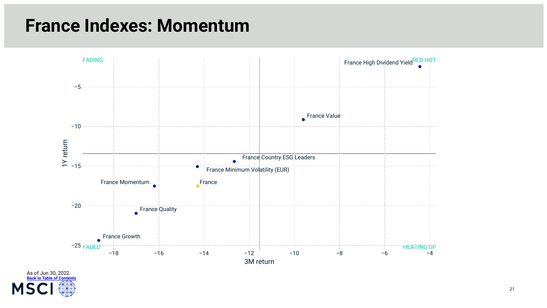### **France Indexes: Momentum**



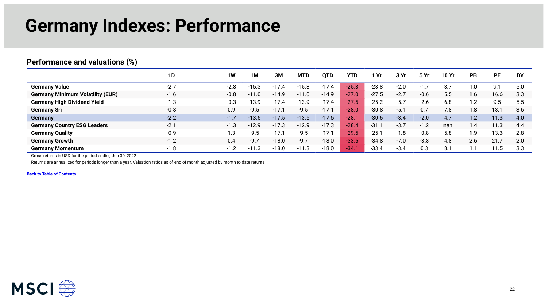### **Germany Indexes: Performance**

#### <span id="page-21-0"></span>**Performance and valuations (%)**

|                                         | 1D     | <b>1W</b> | 1M      | 3M      | <b>MTD</b> | QTD     | YTD        | Yr      | 3 Yr   | 5 Yr   | 10 Yr | <b>PB</b>    | <b>PE</b> | <b>DY</b> |
|-----------------------------------------|--------|-----------|---------|---------|------------|---------|------------|---------|--------|--------|-------|--------------|-----------|-----------|
| <b>Germany Value</b>                    | $-2.7$ | $-2.8$    | $-15.3$ | $-17$   | $-15.3$    | $-17.4$ | $-25.3$    | $-28.8$ | $-2.0$ |        | 3.7   | .0           | 9.1       | 5.0       |
| <b>Germany Minimum Volatility (EUR)</b> | $-1.6$ | $-0.8$    | $-11.0$ | $-14.9$ | $-11.0$    | $-14.9$ | $-27.0$    | $-27.5$ | $-2.7$ | $-0.6$ | 5.5   | . 6          | 16.6      | 3.3       |
| <b>Germany High Dividend Yield</b>      | $-1.3$ | $-0.3$    | $-13.9$ | $-17.4$ | $-13.9$    | $-17.4$ | $-27.5$    | $-25.2$ | $-5.7$ | $-2.6$ | 6.8   | $\cdot$ .2   | 9.5       | 5.5       |
| <b>Germany Sri</b>                      | $-0.8$ | 0.9       | $-9.5$  | $-17.7$ | $-9.5$     | $-17.1$ | $-28.0$    | $-30.8$ | $-5.1$ | 0.7    | 7.8   | . .8         | 13.1      | 3.6       |
| <b>Germany</b>                          | $-2.2$ | $-1.7$    | $-13.5$ | $-17.5$ | $-13.5$    | $-17.5$ | $-28.$     | $-30.6$ | $-3.4$ | $-2.0$ | 4.7   | 1.2          | 11.3      | 4.0       |
| <b>Germany Country ESG Leaders</b>      | $-2.1$ | $-1.3$    | $-12.9$ | $-17.3$ | $-12.9$    | $-17.3$ | $-28.4$    | $-31.1$ | $-3.7$ | $-1.2$ | nan   | $\mathbf{A}$ | 11.3      | 4.4       |
| <b>Germany Quality</b>                  | $-0.9$ | 1.3       | $-9.5$  | $-17.$  | $-9.5$     | $-17.1$ | $-29.5$    | $-25.7$ | $-1.8$ | $-0.8$ | 5.8   | 9.،          | 13.3      | 2.8       |
| <b>Germany Growth</b>                   | $-1.2$ | 0.4       | $-9.7$  | $-18.0$ | $-9.7$     | $-18.0$ | $-33.5$    | $-34.8$ | $-7.0$ | $-3.8$ | 4.8   | 2.6          | 21.7      | 2.0       |
| <b>Germany Momentum</b>                 | $-1.8$ | $-1.2$    | $-11.3$ | $-18.0$ | $-11.3$    | $-18.0$ | <b>434</b> | $-33.4$ | $-3.4$ | 0.3    | 8.1   |              | 11.5      | 3.3       |

Gross returns in USD for the period ending Jun 30, 2022

Returns are annualized for periods longer than a year. Valuation ratios as of end of month adjusted by month to date returns.

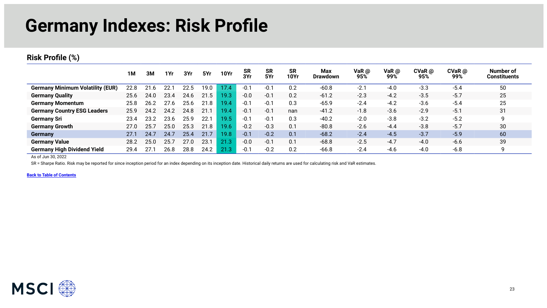### **Germany Indexes: Risk Profile**

#### **Risk Profile (%)**

|                                         | 1M   | 3M   | 1Yr  | 3Yr  | 5Yr  | <b>10Yr</b> | <b>SR</b><br>3Yr | <b>SR</b><br>5Yr | <b>SR</b><br>10Yr | Max<br><b>Drawdown</b> | VaR @<br>95% | VaR $\omega$<br>99% | $CVaR$ @<br>95% | $CVaR$ $@$<br>99% | Number of<br><b>Constituents</b> |
|-----------------------------------------|------|------|------|------|------|-------------|------------------|------------------|-------------------|------------------------|--------------|---------------------|-----------------|-------------------|----------------------------------|
| <b>Germany Minimum Volatility (EUR)</b> | 22.8 | 21.6 |      | 22.5 | 19.0 | 17.4        | $-0.1$           | $-0.7$           | 0.2               | $-60.8$                | $-2.1$       | $-4.0$              | $-3.3$          | $-5.4$            | 50                               |
| <b>Germany Quality</b>                  | 25.6 | 24.0 | 23.4 | 24.6 | 21.5 | 19.3        | $-0.0$           | $-0.1$           | 0.2               | $-61.2$                | $-2.3$       | $-4.2$              | $-3.5$          | $-5.7$            | 25                               |
| <b>Germany Momentum</b>                 | 25.8 | 26.2 | 27.6 | 25.6 | 21.8 | 19.4.       | $-0.1$           | $-0.1$           | 0.3               | $-65.9$                | $-2.4$       | $-4.2$              | $-3.6$          | $-5.4$            | 25                               |
| <b>Germany Country ESG Leaders</b>      | 25.9 | 24.2 | 24.2 | 24.8 | 21.1 | 19.4        | $-0.1$           | $-0.1$           | nan               | $-41.2$                | $-1.8$       | $-3.6$              | $-2.9$          | $-5.1$            | 31                               |
| <b>Germany Sri</b>                      | 23.4 | 23.2 | 23.6 | 25.9 | 22.1 | 19.5        | $-0.1$           | $-0.1$           | 0.3               | $-40.2$                | $-2.0$       | $-3.8$              | $-3.2$          | $-5.2$            | 9                                |
| <b>Germany Growth</b>                   | 27.0 | 25.7 | 25.0 | 25.3 | 21.8 | 19.6        | $-0.2$           | $-0.3$           | 0.1               | $-80.8$                | $-2.6$       | $-4.4$              | $-3.8$          | $-5.7$            | 30                               |
| Germany                                 | 27.1 | 24.7 | 24.7 | 25.4 | 21.7 | 19.8        | $-0.1$           | $-0.2$           | 0.1               | $-68.2$                | $-2.4$       | $-4.5$              | $-3.7$          | $-5.9$            | 60                               |
| <b>Germany Value</b>                    | 28.2 | 25.0 | 25.  | 27.0 | 23.7 |             | $-0.0$           | $-0.1$           | 0.1               | $-68.8$                | $-2.5$       | $-4.7$              | $-4.0$          | $-6.6$            | 39                               |
| <b>Germany High Dividend Yield</b>      | 29.4 | 27.  | 26.8 | 28.8 | 24.2 |             | $-0.1$           | $-0.2$           | 0.2               | $-66.8$                | $-2.4$       | $-4.6$              | $-4.0$          | $-6.8$            | 9                                |

As of Jun 30, 2022

SR = Sharpe Ratio. Risk may be reported for since inception period for an index depending on its inception date. Historical daily returns are used for calculating risk and VaR estimates.

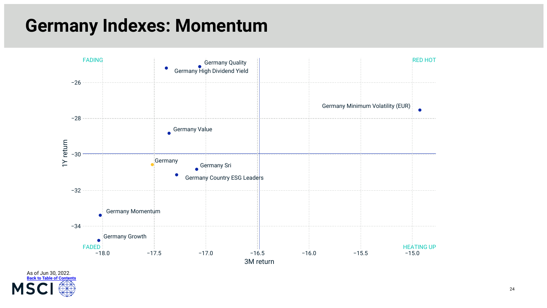### **Germany Indexes: Momentum**



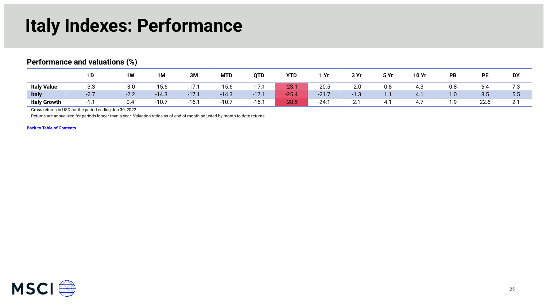### **Italy Indexes: Performance**

#### <span id="page-24-0"></span>**Performance and valuations (%)**

|                     | 1D     | 1W     | 1M      | 3M      | <b>MTD</b> | QTD          | <b>YTD</b> | 1 Yr    | 3 Yr               | 5 Yr     | 10 Yr     | PB  | PE   | DY                          |
|---------------------|--------|--------|---------|---------|------------|--------------|------------|---------|--------------------|----------|-----------|-----|------|-----------------------------|
| <b>Italy Value</b>  | $-3.3$ | $-3.0$ | $-15.6$ | $-17.$  | $-15.6$    | 17.7<br>-17. | $-23.1$    | $-20.5$ | $-2.0$             | 0.8      | 4.3       | 0.8 | 6.4  | 1.3                         |
| <b>Italy</b>        | $-2.7$ | $-2.2$ | $-14.3$ | $-17.1$ | $-14.3$    | $-17.1$      | $-25.4$    | $-21.7$ | $\sim$<br>-1.3     | $\cdots$ | 4.1       | 1.0 | 8.5  | 5.5                         |
| <b>Italy Growth</b> |        | 0.4    | $-10.7$ | $-16.7$ | $-10.7$    | $-16.1$      | $-28.5$    | $-24.7$ | $\sim$<br><u>.</u> |          | 17<br>4., | .   | 22.6 | $\sim$ $\sim$<br><u>.</u> . |

Gross returns in USD for the period ending Jun 30, 2022

Returns are annualized for periods longer than a year. Valuation ratios as of end of month adjusted by month to date returns.

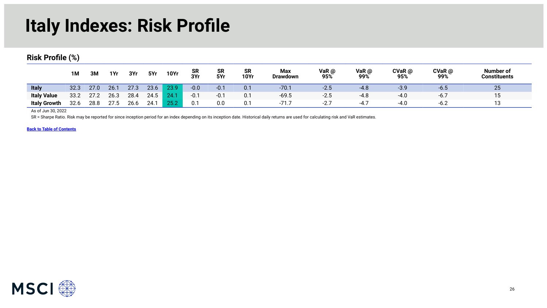### **Italy Indexes: Risk Profile**

#### **Risk Profile (%)**

|                     | 1M   | 3M   | 1Yr  | 3Yr  | 5Yr  | <b>10Yr</b> | <b>SR</b><br>3Yr | <b>SR</b><br>5Yr | <b>SR</b><br><b>10Yr</b> | Max<br><b>Drawdown</b> | VaR @<br>95%      | VaR @<br>99% | CVaR @<br>95% | $CVaR$ @<br>99% | Number of<br><b>Constituents</b> |
|---------------------|------|------|------|------|------|-------------|------------------|------------------|--------------------------|------------------------|-------------------|--------------|---------------|-----------------|----------------------------------|
| <b>Italy</b>        | 32.3 | 27.0 | 26.1 | 27.3 | 23.6 | 23.9        | $-0.0$           | $-0.1$           | 0.1                      | $-70.1$                | $-2.5$            | $-4.8$       | $-3.9$        | -0.5            | 25                               |
| <b>Italy Value</b>  | 33.2 | 27.2 | 26.3 | 28.4 | 24.5 | 24.1        | $-0.1$           | $-0.1$           | 0.7                      | $-69.5$                | $-2.5$            | $-4.8$       | $-4.0$        | $-6.7$          | 15                               |
| <b>Italy Growth</b> | 32.6 | 28.8 | 27.5 | 26.6 | 24.1 | 25.2        | 0.1              | 0.0              | 0.1                      | $-71.7$                | $-27$<br><u>.</u> |              | $-4.0$        | $-6.2$          | 13                               |

As of Jun 30, 2022

SR = Sharpe Ratio. Risk may be reported for since inception period for an index depending on its inception date. Historical daily returns are used for calculating risk and VaR estimates.

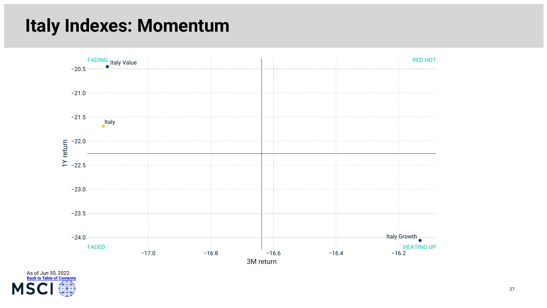### **Italy Indexes: Momentum**



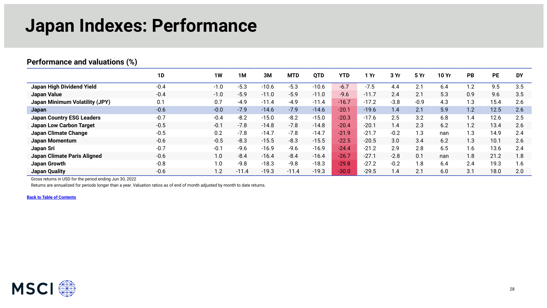### **Japan Indexes: Performance**

#### <span id="page-27-0"></span>**Performance and valuations (%)**

|                                  | 1D     | 1W     | 1M      | 3M      | <b>MTD</b> | <b>QTD</b> | YTD     | Yr      | 3 Yr   | 5 Yr   | <b>10 Yr</b> | PB  | <b>PE</b> | <b>DY</b> |
|----------------------------------|--------|--------|---------|---------|------------|------------|---------|---------|--------|--------|--------------|-----|-----------|-----------|
| Japan High Dividend Yield        | $-0.4$ | $-1.0$ | $-5.3$  | $-10.6$ | $-5.3$     | $-10.6$    | $-6.7$  | $-7.5$  | 4.4    | 2.1    | 6.4          | 1.2 | 9.5       | 3.5       |
| Japan Value                      | $-0.4$ | $-1.0$ | $-5.9$  | $-11.0$ | $-5.9$     | $-11.0$    | $-9.6$  | $-11.7$ | 2.4    | 2.1    | 5.3          | 0.9 | 9.6       | 3.5       |
| Japan Minimum Volatility (JPY)   | 0.1    | 0.7    | $-4.9$  | $-11.4$ | $-4.9$     | $-11.4$    | $-16.7$ | $-17.2$ | $-3.8$ | $-0.9$ | 4.3          | 1.3 | 15.4      | 2.6       |
| Japan                            | $-0.6$ | $-0.0$ | $-7.9$  | $-14.6$ | $-7.9$     | $-14.6$    | $-20.1$ | $-19.6$ | 1.4    | 2.1    | 5.9          | 1.2 | 12.5      | 2.6       |
| <b>Japan Country ESG Leaders</b> | $-0.7$ | $-0.4$ | $-8.2$  | $-15.0$ | $-8.2$     | $-15.0$    | $-20.3$ | $-17.6$ | 2.5    | 3.2    | 6.8          | 4.، | 12.6      | 2.5       |
| <b>Japan Low Carbon Target</b>   | $-0.5$ | $-0.1$ | $-7.8$  | $-14.8$ | $-7.8$     | $-14.8$    | $-20.4$ | $-20.1$ | 1.4    | 2.3    | 6.2          | 1.2 | 13.4      | 2.6       |
| <b>Japan Climate Change</b>      | $-0.5$ | 0.2    | $-7.8$  | $-14.7$ | $-7.8$     | $-14.7$    | $-21.9$ | $-21.7$ | $-0.2$ | 1.3    | nan          | 1.3 | 14.9      | 2.4       |
| <b>Japan Momentum</b>            | $-0.6$ | $-0.5$ | $-8.3$  | $-15.5$ | $-8.3$     | $-15.5$    | $-22.5$ | $-20.5$ | 3.0    | 3.4    | 6.2          | 1.3 | 10.1      | 2.6       |
| Japan Sri                        | $-0.7$ | $-0.1$ | $-9.6$  | $-16.9$ | $-9.6$     | $-16.9$    | $-24.4$ | $-21.2$ | 2.9    | 2.8    | 6.5          | .6  | 13.6      | 2.4       |
| Japan Climate Paris Aligned      | $-0.6$ | 1.0    | $-8.4$  | $-16.4$ | $-8.4$     | $-16.4$    | $-26.7$ | $-27.1$ | $-2.8$ | 0.1    | nan          | 1.8 | 21.2      | 1.8       |
| Japan Growth                     | $-0.8$ | 1.0    | $-9.8$  | $-18.3$ | $-9.8$     | $-18.3$    | $-29.8$ | $-27.2$ | $-0.2$ | 1.8    | 6.4          | 2.4 | 19.3      | 1.6       |
| <b>Japan Quality</b>             | $-0.6$ | 1.2    | $-11.4$ | $-19.3$ | $-11.4$    | $-19.3$    | $-30.0$ | $-29.5$ | 1.4    | 2.1    | 6.0          | 3.1 | 18.0      | 2.0       |

Gross returns in USD for the period ending Jun 30, 2022

Returns are annualized for periods longer than a year. Valuation ratios as of end of month adjusted by month to date returns.

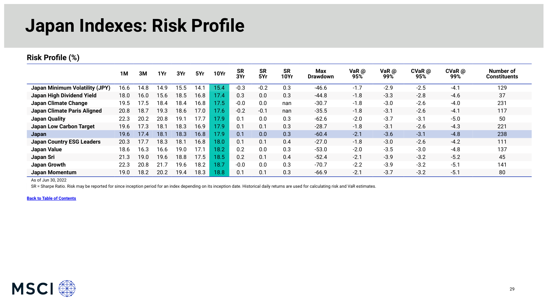### **Japan Indexes: Risk Profile**

#### **Risk Profile (%)**

|                                       | 1M   | ЗM   | 1Yr  | 3Yr  | 5Yr  | <b>10Yr</b> | <b>SR</b><br>3Yr | <b>SR</b><br>5Yr | SR<br><b>10Yr</b> | Max<br><b>Drawdown</b> | VaR @<br>95% | VaR $\omega$<br>99% | $CVaR$ @<br>95% | $CVaR$ $@$<br>99% | Number of<br><b>Constituents</b> |
|---------------------------------------|------|------|------|------|------|-------------|------------------|------------------|-------------------|------------------------|--------------|---------------------|-----------------|-------------------|----------------------------------|
| <b>Japan Minimum Volatility (JPY)</b> | 16.6 | 14.8 | 14.9 | 15.5 | ٔ 14 | 15.4        | $-0.3$           | $-0.2$           | 0.3               | $-46.6$                | $-1.7$       | $-2.9$              | $-2.5$          | $-4.1$            | 129                              |
| Japan High Dividend Yield             | 18.0 | 16.0 | 15.6 | 18.5 | 16.8 | 17.4        | 0.3              | 0.0              | 0.3               | $-44.8$                | $-1.8$       | $-3.3$              | $-2.8$          | $-4.6$            | 37                               |
| Japan Climate Change                  | 19.5 | 17.5 | 18.4 | 18.4 | 16.8 | 17.5        | $-0.0$           | 0.0              | nan               | $-30.7$                | $-1.8$       | $-3.0$              | $-2.6$          | $-4.0$            | 231                              |
| Japan Climate Paris Aligned           | 20.8 | 18.7 | 19.3 | 18.6 | 17.0 | 17.6        | $-0.2$           | $-0.1$           | nan               | $-35.5$                | $-1.8$       | $-3.1$              | $-2.6$          | $-4.1$            | 117                              |
| <b>Japan Quality</b>                  | 22.3 | 20.2 | 20.8 | 19.1 | 17.7 | 17.9        | 0.1              | 0.0              | 0.3               | $-62.6$                | $-2.0$       | $-3.7$              | $-3.1$          | $-5.0$            | 50                               |
| <b>Japan Low Carbon Target</b>        | 19.6 | 17.3 | 18.1 | 18.3 | 16.9 | 17.9        | 0.1              | 0.1              | 0.3               | $-28.7$                | $-1.8$       | $-3.1$              | $-2.6$          | $-4.3$            | 221                              |
| Japan                                 | 19.6 | 17.4 | 18.1 | 18.3 | 16.8 | 17.9        | 0.1              | 0.0              | 0.3               | $-60.4$                | $-2.1$       | $-3.6$              | $-3.1$          | $-4.8$            | 238                              |
| <b>Japan Country ESG Leaders</b>      | 20.3 | 17.7 | 18.3 | 18.1 | 16.8 | 18.0        | 0.1              | 0.1              | 0.4               | $-27.0$                | $-1.8$       | $-3.0$              | $-2.6$          | $-4.2$            | 111                              |
| <b>Japan Value</b>                    | 18.6 | 16.3 | 16.6 | 19.0 | 17.1 | 18.2        | 0.2              | 0.0              | 0.3               | $-53.0$                | $-2.0$       | $-3.5$              | $-3.0$          | $-4.8$            | 137                              |
| Japan Sri                             | 21.3 | 19.0 | 19.6 | 18.8 | 17.5 | 18.5        | 0.2              | 0.1              | 0.4               | $-52.4$                | $-2.1$       | $-3.9$              | $-3.2$          | $-5.2$            | 45                               |
| Japan Growth                          | 22.3 | 20.8 | 21.7 | 19.6 | 18.2 | 18.7        | $-0.0$           | 0.0              | 0.3               | $-70.7$                | $-2.2$       | $-3.9$              | $-3.2$          | $-5.1$            | 141                              |
| <b>Japan Momentum</b>                 | 19.0 | 18.2 | 20.2 | 19.4 | 18.3 | 18.8        | 0.1              | 0.1              | 0.3               | $-66.9$                | $-2.1$       | $-3.7$              | $-3.2$          | $-5.1$            | 80                               |

As of Jun 30, 2022

SR = Sharpe Ratio. Risk may be reported for since inception period for an index depending on its inception date. Historical daily returns are used for calculating risk and VaR estimates.

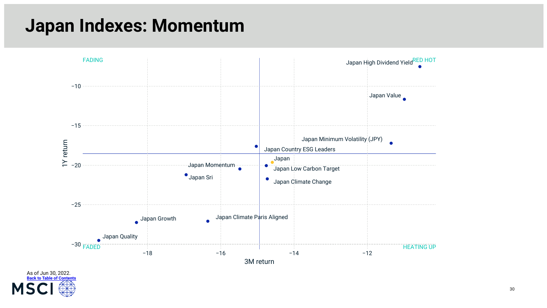### **Japan Indexes: Momentum**



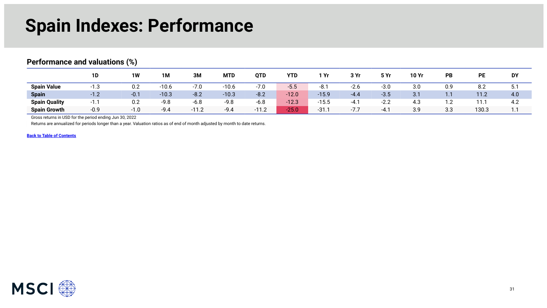### **Spain Indexes: Performance**

#### <span id="page-30-0"></span>**Performance and valuations (%)**

|                      | 1D       | 1W     | 1M      | 3M     | <b>MTD</b> | QTD     | <b>YTD</b> | 1 Yr    | 3Yr    | 5 Yr   | <b>10 Yr</b> | PB  | <b>PE</b> | <b>DY</b>     |
|----------------------|----------|--------|---------|--------|------------|---------|------------|---------|--------|--------|--------------|-----|-----------|---------------|
| <b>Spain Value</b>   | $-1.3$   | 0.2    | $-10.6$ | $-7.0$ | $-10.6$    | $-7.0$  | $-5.5$     | $-8.1$  | $-2.6$ | $-3.0$ | 3.0          | 0.9 | 8.2       | Б.<br>J.      |
| <b>Spain</b>         | $-1.2$   | $-0.1$ | $-10.3$ | $-8.2$ | $-10.3$    | $-8.2$  | $-12.0$    | $-15.9$ | $-4.4$ | $-3.5$ | 3.1          | 1.1 | 11.2      | 4.0           |
| <b>Spain Quality</b> | - 1<br>. | 0.2    | $-9.8$  | $-6.8$ | $-9.8$     | $-6.8$  | $-12.3$    | $-15.5$ | $-4.1$ | $-2.2$ | 4.3          |     | 11.1      | 4.2           |
| <b>Spain Growth</b>  | $-0.9$   | $-1.0$ | $-9.4$  | $-112$ | $-9.4$     | $-11.2$ | $-25.0$    | $-31.$  | $-7.7$ | $-4.1$ | 3.9          | 3.3 | 130.3     | $\sim$<br>. . |

Gross returns in USD for the period ending Jun 30, 2022

Returns are annualized for periods longer than a year. Valuation ratios as of end of month adjusted by month to date returns.

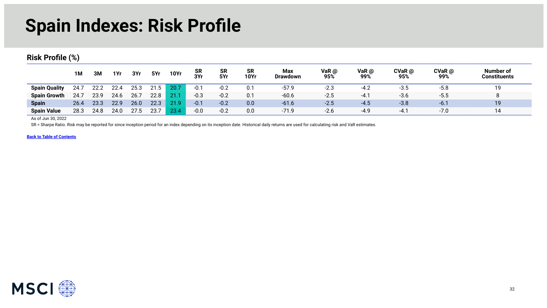### **Spain Indexes: Risk Profile**

#### **Risk Profile (%)**

|                      | <b>1M</b> | 3M   | 1Yr  | 3Yr  | 5Yr  | <b>10Yr</b> | <b>SR</b><br>3Yr | <b>SR</b><br>5Yr | <b>SR</b><br><b>10Yr</b> | Max<br>Drawdown | VaR @<br>95% | VaR@<br>99% | CVaR @<br>95% | $CVaR$ @<br>99% | Number of<br><b>Constituents</b> |
|----------------------|-----------|------|------|------|------|-------------|------------------|------------------|--------------------------|-----------------|--------------|-------------|---------------|-----------------|----------------------------------|
| <b>Spain Quality</b> | 24.7      | 22.2 | 22.4 | 25.3 | 21.5 | 20.7        | $-0.1$           | $-0.2$           | 0.1                      | $-57.9$         | $-2.3$       | $-4.2$      | $-3.5$        | $-5.8$          | 19                               |
| <b>Spain Growth</b>  | 24.7      | 23.9 | 24.6 | 26.7 | 22.8 |             | $-0.3$           | $-0.2$           | 0.1                      | $-60.6$         | $-2.5$       | $-4.1$      | $-3.6$        | $-5.5$          | O                                |
| <b>Spain</b>         | 26.4      | 23.3 | 22.9 | 26.0 | 22.3 | 21.9        | $-0.1$           | $-0.2$           | 0.0                      | $-61.6$         | $-2.5$       | $-4.5$      | $-3.8$        | $-6.1$          | 19                               |
| <b>Spain Value</b>   | 28.3      | 24.8 | 24.0 | 27.5 | 23.  | 23.4        | $-0.0$           | $-0.2$           | 0.0                      | $-71.9$         | $-2.6$       | $-4.9$      | $-4.7$        | $-7.0$          | 14                               |

As of Jun 30, 2022

SR = Sharpe Ratio. Risk may be reported for since inception period for an index depending on its inception date. Historical daily returns are used for calculating risk and VaR estimates.

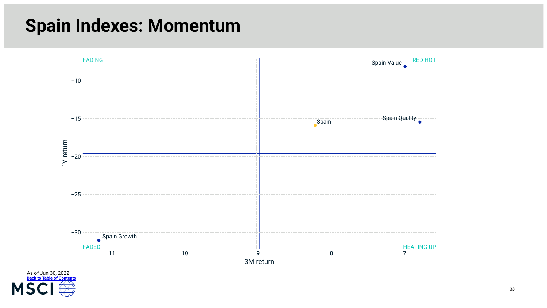### **Spain Indexes: Momentum**



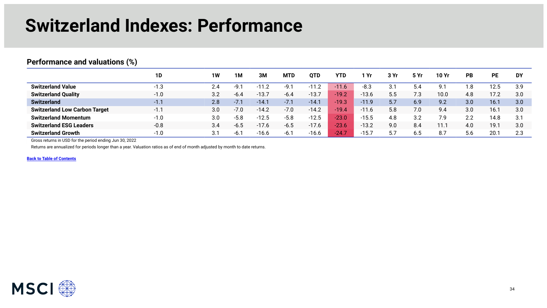### **Switzerland Indexes: Performance**

#### <span id="page-33-0"></span>**Performance and valuations (%)**

|                                      | 1D     | <b>1W</b> | 1M     | ЗM      | <b>MTD</b> | <b>OTD</b> | <b>YTD</b> | . Yr    | 3 Yr | 5Yr | 10 Yr | <b>PB</b> | РE   | <b>DY</b> |
|--------------------------------------|--------|-----------|--------|---------|------------|------------|------------|---------|------|-----|-------|-----------|------|-----------|
| <b>Switzerland Value</b>             | $-1.3$ | 2.4       | -Q     |         | $-9.7$     | $-11.2$    | $-11.6$    | $-8.3$  | 3.1  | 5.4 | 9.1   | . .8      | 12.5 | 3.9       |
| <b>Switzerland Quality</b>           | $-1.0$ | 3.2       | $-61$  | $-13.$  | $-6.4$     | $-13.7$    | $-19.2$    | $-13.6$ | 5.5  | 7.3 | 10.0  | 4.8       | 17 2 | 3.0       |
| <b>Switzerland</b>                   | $-1.1$ | 2.8       | $-7.1$ | $-14.1$ | $-7.1$     | $-14.1$    | $-19.3$    | $-11.9$ | 5.7  | 6.9 | 9.2   | 3.0       | 16.1 | 3.0       |
| <b>Switzerland Low Carbon Target</b> | $-11$  | 3.0       | $-7.0$ | $-14.2$ | $-7.0$     | $-14.2$    | $-19.4$    | $-11.6$ | 5.8  | 7.0 | 9.4   | 3.0       | 16.1 | 3.0       |
| <b>Switzerland Momentum</b>          | $-1.0$ | 3.0       | $-5.8$ | $-12.5$ | $-5.8$     | $-12.5$    | $-23.0$    | $-15.5$ | 4.8  | 3.2 | 7.9   | 2.2       | 14.8 | 3.1       |
| <b>Switzerland ESG Leaders</b>       | $-0.8$ | 3.4       | $-6.5$ | $-1/6$  | $-6.5$     | $-17.6$    | $-23.6$    | $-13.2$ | 9.0  | 8.4 | 11.1  | 4.0       | 19.1 | 3.0       |
| <b>Switzerland Growth</b>            | $-1.0$ | 3.1       |        | $-16.6$ | $-6.7$     | $-16.6$    | $-24.$     | $-15.7$ |      | ხ.ხ | 8.7   | 5.6       | 20.1 | 2.3       |

Gross returns in USD for the period ending Jun 30, 2022

Returns are annualized for periods longer than a year. Valuation ratios as of end of month adjusted by month to date returns.

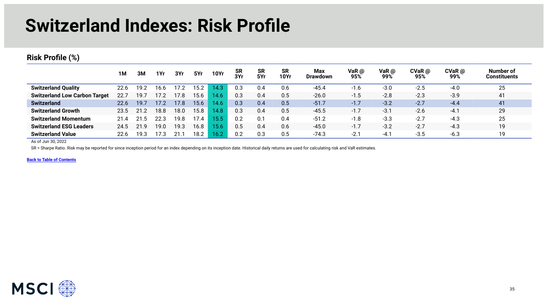### **Switzerland Indexes: Risk Profile**

#### **Risk Profile (%)**

|                                      | 1M   | 3M   | 1Yr  | 3Yr  | 5Yr  | <b>10Yr</b> | <b>SR</b><br>3Yr | <b>SR</b><br>5Yr | <b>SR</b><br>10Yr | Max<br><b>Drawdown</b> | VaR $\omega$<br>95% | VaR $\omega$<br>99% | CVaR @<br>95% | $CVaR$ $@$<br>99% | Number of<br><b>Constituents</b> |
|--------------------------------------|------|------|------|------|------|-------------|------------------|------------------|-------------------|------------------------|---------------------|---------------------|---------------|-------------------|----------------------------------|
| <b>Switzerland Quality</b>           | 22.6 | 19.2 | 16.6 | 17.2 | 15.2 | 14.3        | 0.3              | 0.4              | 0.6               | $-45.4$                | $-1.6$              | $-3.0$              | $-2.5$        | $-4.0$            | 25                               |
| <b>Switzerland Low Carbon Target</b> | 22.7 | 19.7 | 17.2 | 17.8 | 15.6 | 14.6        | 0.3              | 0.4              | 0.5               | $-26.0$                | $-1.5$              | $-2.8$              | $-2.3$        | $-3.9$            | 41                               |
| <b>Switzerland</b>                   | 22.6 | 19.7 | 17.2 | 17.8 | 15.6 | 14.6        | 0.3              | 0.4              | 0.5               | -51.7                  | $-1.7$              | $-3.2$              | $-2.7$        | $-4.4$            | 41                               |
| <b>Switzerland Growth</b>            | 23.5 | 21.2 | 18.8 | 18.0 | 15.8 | 4.8         | 0.3              | 0.4              | 0.5               | $-45.5$                | $-1.7$              | $-3.1$              | $-2.6$        | $-4.1$            | 29                               |
| <b>Switzerland Momentum</b>          |      |      | 22.5 | 19.8 | 7.4  | 5.5         | 0.2              | 0.1              | 0.4               | -51.2                  | $-1.8$              | $-3.3$              | $-2.7$        | $-4.3$            | 25                               |
| <b>Switzerland ESG Leaders</b>       | 24.5 | 21.9 | 19.0 | 19.3 | 16.8 | 5.6         | 0.5              | 0.4              | 0.6               | $-45.0$                | $-1.7$              | $-3.2$              | $-2.7$        | $-4.3$            | 19                               |
| <b>Switzerland Value</b>             | 22.6 | 19.3 | 7.3  |      | 18.2 | 16.2        | 0.2              | 0.3              | 0.5               | $-74.3$                | $-2.1$              | $-4.1$              | $-3.5$        | $-6.3$            | 19                               |

As of Jun 30, 2022

SR = Sharpe Ratio. Risk may be reported for since inception period for an index depending on its inception date. Historical daily returns are used for calculating risk and VaR estimates.

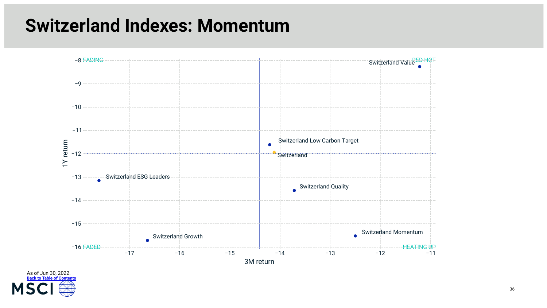### **Switzerland Indexes: Momentum**



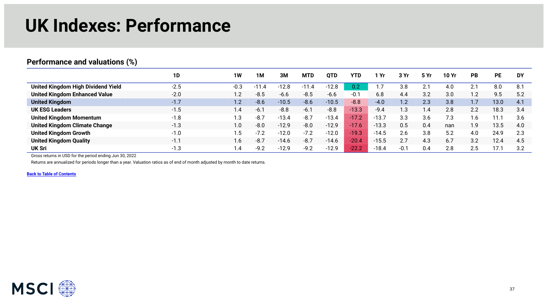### **UK Indexes: Performance**

|                                      | 1D     | 1W     | 1M      | 3M      | <b>MTD</b> | <b>OTD</b> | <b>YTD</b> | . Yr    | 3 Yr   | 5 Yr | 10 Yr | <b>PB</b> | <b>PE</b> | <b>DY</b> |
|--------------------------------------|--------|--------|---------|---------|------------|------------|------------|---------|--------|------|-------|-----------|-----------|-----------|
| United Kingdom High Dividend Yield   | $-2.5$ | $-0.3$ | $-11.4$ | $-12.8$ | $-11.4$    | $-12.8$    | 0.2        |         | 3.8    | 2.1  | 4.0   | 2.1       | 8.0       | 8.1       |
| <b>United Kingdom Enhanced Value</b> | $-2.0$ | 1.2    | $-8.5$  | $-6.6$  | $-8.5$     | $-6.6$     | $-0.1$     | 6.8     | 4.4    | 3.2  | 3.0   | 1.2       | 9.5       | 5.2       |
| <b>United Kingdom</b>                | $-1.7$ | 1.2    | $-8.6$  | $-10.5$ | $-8.6$     | $-10.5$    | $-8.8$     | $-4.0$  | 1.2    | 2.3  | 3.8   | 1.7       | 13.0      | 4.1       |
| <b>UK ESG Leaders</b>                | $-1.5$ | 1.4    | $-6.7$  | $-8.8$  | $-6.1$     | $-8.8$     | $-13.3$    | $-9.4$  | 1.3    | 1.4  | 2.8   | 2.2       | 18.3      | 3.4       |
| <b>United Kingdom Momentum</b>       | $-1.8$ | 1.3    | $-8.7$  | $-13.4$ | $-8.7$     | $-13.4$    | $-17.2$    | $-13.7$ | 3.3    | 3.6  | 7.3   | .6        | 11.1      | 3.6       |
| <b>United Kingdom Climate Change</b> | $-1.3$ | 1.0    | $-8.0$  | $-12.9$ | $-8.0$     | $-12.9$    | $-17.6$    | $-13.3$ | 0.5    | 0.4  | nan   | 1.9       | 13.5      | 4.0       |
| <b>United Kingdom Growth</b>         | $-1.0$ | 1.5    | $-7.2$  | $-12.0$ | $-7.2$     | $-12.0$    | $-19.3$    | $-14.5$ | 2.6    | 3.8  | 5.2   | 4.0       | 24.9      | 2.3       |
| <b>United Kingdom Quality</b>        | $-1.1$ | 1.6    | $-8.7$  | $-14.6$ | $-8.7$     | $-14.6$    | $-20.4$    | $-15.5$ | 2.7    | 4.3  | 6.7   | 3.2       | 12.4      | 4.5       |
| <b>UK Sri</b>                        | $-1.3$ | 1.4    | $-9.2$  | $-12.9$ | $-9.2$     | $-12.9$    | $-22.2$    | $-18.4$ | $-0.1$ | 0.4  | 2.8   | 2.5       | 17.1      | 3.2       |

<span id="page-36-0"></span>**Performance and valuations (%)** 

Gross returns in USD for the period ending Jun 30, 2022

Returns are annualized for periods longer than a year. Valuation ratios as of end of month adjusted by month to date returns.

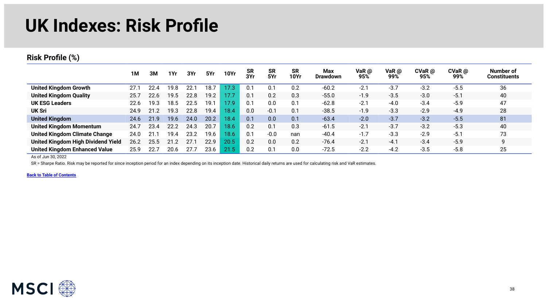### **UK Indexes: Risk Profile**

#### **Risk Profile (%)**

|                                      | 1M   | 3M   | 1Yr  | 3Yr   | 5Yr  | <b>10Yr</b> | <b>SR</b><br>3Yr | <b>SR</b><br>5Yr | <b>SR</b><br><b>10Yr</b> | Max<br><b>Drawdown</b> | VaR $\omega$<br>95% | VaR $\omega$<br>99% | $CVaR$ $@$<br>95% | $CVaR$ $@$<br>99% | Number of<br>Constituents |
|--------------------------------------|------|------|------|-------|------|-------------|------------------|------------------|--------------------------|------------------------|---------------------|---------------------|-------------------|-------------------|---------------------------|
| <b>United Kingdom Growth</b>         | 27.7 | 22.4 | 19.8 | 22.1  | 18.7 | 17.3        |                  | 0.1              | 0.2                      | $-60.2$                | $-2.1$              | $-3.7$              | $-3.2$            | $-5.5$            | 36                        |
| <b>United Kingdom Quality</b>        | 25.7 | 22.6 | 19.5 | 22.8  | 19.2 | 17.7        | 0.1              | 0.2              | 0.3                      | $-55.0$                | $-1.9$              | $-3.5$              | $-3.0$            | $-5.1$            | 40                        |
| <b>UK ESG Leaders</b>                | 22.6 | 19.3 | 18.5 | 22.5  | 19.1 | 17.9        | 0.1              | 0.0              | 0.1                      | $-62.8$                | $-2.1$              | $-4.0$              | $-3.4$            | $-5.9$            | 47                        |
| UK Sri                               | 24.9 | 21   | 19.3 | 22.8  | 19.4 | 18.4        | 0.0              | $-0.1$           | 0.1                      | $-38.5$                | $-1.9$              | $-3.3$              | $-2.9$            | $-4.9$            | 28                        |
| <b>United Kingdom</b>                | 24.6 | 21.9 | 19.6 | 24.0  | 20.2 | 18.4        | 0.1              | 0.0              | 0.1                      | $-63.4$                | $-2.0$              | $-3.7$              | $-3.2$            | $-5.5$            | 81                        |
| United Kingdom Momentum              | 24.7 | 23.4 | 22.2 | 24.3  | 20.7 | 18.6        | 0.2              | 0.1              | 0.3                      | $-61.5$                | $-2.1$              | $-3.7$              | $-3.2$            | $-5.3$            | 40                        |
| <b>United Kingdom Climate Change</b> | 24.0 | 21   | 19.4 | 23.2  | 19.6 | 18.6        |                  | $-0.0$           | nan                      | $-40.4$                | $-1.7$              | $-3.3$              | $-2.9$            | $-5.1$            | 73                        |
| United Kingdom High Dividend Yield   | 26.2 | 25.5 | 21.2 |       | 22.9 | 20.5        | 0.2              | 0.0              | 0.2                      | $-76.4$                | $-2.1$              | $-4.1$              | $-3.4$            | $-5.9$            |                           |
| <b>United Kingdom Enhanced Value</b> | 25.9 | 22.  | 20.6 | -27.7 | 23.6 | 21.5        | 0.2              | 0.1              | 0.0                      | $-72.5$                | $-2.2$              | $-4.2$              | $-3.5$            | $-5.8$            | 25                        |

As of Jun 30, 2022

SR = Sharpe Ratio. Risk may be reported for since inception period for an index depending on its inception date. Historical daily returns are used for calculating risk and VaR estimates.

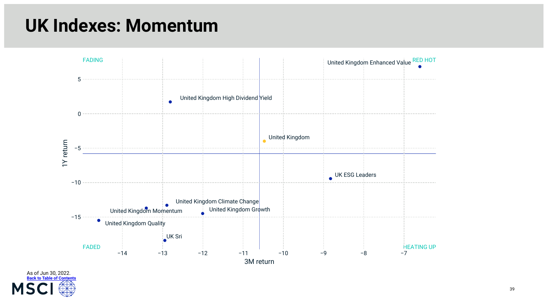### **UK Indexes: Momentum**



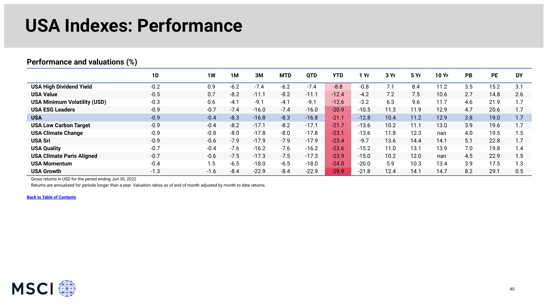#### **USA Indexes: Performance**

#### <span id="page-39-0"></span>**Performance and valuations (%)**

|                                     | <b>1D</b> | 1W     | <b>1M</b> | 3M      | <b>MTD</b> | <b>QTD</b> | <b>YTD</b> | Yr      | 3Yr  | 5 Yr | 10 Yr | <b>PB</b> | <b>PE</b> | <b>DY</b> |
|-------------------------------------|-----------|--------|-----------|---------|------------|------------|------------|---------|------|------|-------|-----------|-----------|-----------|
| <b>USA High Dividend Yield</b>      | $-0.2$    | 0.9    | $-6.2$    | $-7.4$  | $-6.2$     | $-7.4$     | $-8.8$     | $-0.8$  | 7.1  | 8.4  | 11.2  | 3.5       | 15.2      | 3.1       |
| <b>USA Value</b>                    | $-0.5$    | 0.7    | $-8.2$    | $-11.1$ | $-8.2$     | $-11.1$    | $-12.4$    | $-4.2$  | 7.2  | 7.5  | 10.6  | 2.7       | 14.8      | 2.6       |
| <b>USA Minimum Volatility (USD)</b> | $-0.3$    | 0.6    | $-4.1$    | $-9.1$  | $-4.1$     | $-9.1$     | $-12.6$    | $-3.2$  | 6.3  | 9.6  | 11.7  | 4.6       | 21.9      | 1.7       |
| <b>USA ESG Leaders</b>              | $-0.9$    | $-0.7$ | $-7.4$    | $-16.0$ | $-7.4$     | $-16.0$    | $-20.9$    | $-10.5$ | 11.3 | 11.9 | 12.9  | 4.7       | 20.6      | 1.7       |
| <b>USA</b>                          | $-0.9$    | $-0.4$ | $-8.3$    | $-16.8$ | $-8.3$     | $-16.8$    | $-21.1$    | $-12.8$ | 10.4 | 11.2 | 12.9  | 3.8       | 19.0      | 1.7       |
| <b>USA Low Carbon Target</b>        | $-0.9$    | $-0.4$ | $-8.2$    | $-17.1$ | $-8.2$     | $-17.1$    | $-21.7$    | $-13.6$ | 10.2 | 11.1 | 13.0  | 3.9       | 19.6      | 1.7       |
| <b>USA Climate Change</b>           | $-0.9$    | $-0.8$ | $-8.0$    | $-17.8$ | $-8.0$     | $-17.8$    | $-23.1$    | $-13.6$ | 11.8 | 12.3 | nan   | 4.0       | 19.5      | 1.5       |
| <b>USA Sri</b>                      | $-0.9$    | $-0.6$ | $-7.9$    | $-17.9$ | $-7.9$     | $-17.9$    | $-23.4$    | $-9.7$  | 13.6 | 14.4 | 14.1  | 5.1       | 22.8      | 1.7       |
| <b>USA Quality</b>                  | $-0.7$    | $-0.4$ | $-7.6$    | $-16.2$ | $-7.6$     | $-16.2$    | $-23.6$    | $-15.2$ | 11.0 | 13.1 | 13.9  | 7.0       | 19.8      | 1.4       |
| <b>USA Climate Paris Aligned</b>    | $-0.7$    | $-0.6$ | $-7.5$    | $-17.3$ | $-7.5$     | $-17.3$    | $-23.9$    | $-15.0$ | 10.2 | 12.0 | nan   | 4.5       | 22.9      | 1.5       |
| <b>USA Momentum</b>                 | $-0.4$    | 1.5    | $-6.5$    | $-18.0$ | $-6.5$     | $-18.0$    | $-24.0$    | $-20.0$ | 5.9  | 10.3 | 13.4  | 3.9       | 17.5      | 1.3       |
| <b>USA Growth</b>                   | $-1.3$    | $-1.6$ | $-8.4$    | $-22.9$ | $-8.4$     | $-22.9$    | $-29.9$    | $-21.8$ | 12.4 | 14.1 | 14.7  | 8.2       | 29.1      | 0.5       |

Gross returns in USD for the period ending Jun 30, 2022

Returns are annualized for periods longer than a year. Valuation ratios as of end of month adjusted by month to date returns.

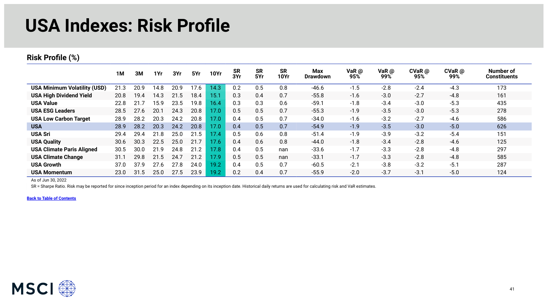#### **USA Indexes: Risk Profile**

#### **Risk Profile (%)**

|                                     | 1M   | 3M   | 1Yr  | 3Yr  | 5Yr  | <b>10Yr</b> | <b>SR</b><br>3Yr | <b>SR</b><br>5Yr | <b>SR</b><br><b>10Yr</b> | <b>Max</b><br><b>Drawdown</b> | VaR $@$<br>95% | VaR $\omega$<br>99% | $CVaR$ $@$<br>95% | $CVaR$ $@$<br>99% | Number of<br><b>Constituents</b> |
|-------------------------------------|------|------|------|------|------|-------------|------------------|------------------|--------------------------|-------------------------------|----------------|---------------------|-------------------|-------------------|----------------------------------|
| <b>USA Minimum Volatility (USD)</b> | 21.3 | 20.9 | 14.8 | 20.9 | 17.6 | 14.3        | 0.2              | 0.5              | 0.8                      | $-46.6$                       | $-1.5$         | $-2.8$              | $-2.4$            | $-4.3$            | 173                              |
| <b>USA High Dividend Yield</b>      | 20.8 | 19.4 | 14.3 | 21.5 | 18.4 | 15.1        | 0.3              | 0.4              | 0.7                      | $-55.8$                       | $-1.6$         | $-3.0$              | $-2.7$            | $-4.8$            | 161                              |
| <b>USA Value</b>                    | 22.8 | 21.7 | 15.9 | 23.5 | 19.8 | 16.4        | 0.3              | 0.3              | 0.6                      | $-59.1$                       | $-1.8$         | $-3.4$              | $-3.0$            | $-5.3$            | 435                              |
| <b>USA ESG Leaders</b>              | 28.5 | 27.6 | 20.1 | 24.3 | 20.8 | 17.0        | 0.5              | 0.5              | 0.7                      | $-55.3$                       | $-1.9$         | $-3.5$              | $-3.0$            | $-5.3$            | 278                              |
| <b>USA Low Carbon Target</b>        | 28.9 | 28.2 | 20.3 | 24.2 | 20.8 | 17.0        | 0.4              | 0.5              | 0.7                      | $-34.0$                       | $-1.6$         | $-3.2$              | $-2.7$            | $-4.6$            | 586                              |
| <b>USA</b>                          | 28.9 | 28.2 | 20.3 | 24.2 | 20.8 | 17.0        | 0.4              | 0.5              | 0.7                      | $-54.9$                       | $-1.9$         | $-3.5$              | $-3.0$            | $-5.0$            | 626                              |
| <b>USA Sri</b>                      | 29.4 | 29.4 | 21.8 | 25.0 | 21.5 | 17.4        | 0.5              | 0.6              | 0.8                      | $-51.4$                       | $-1.9$         | $-3.9$              | $-3.2$            | $-5.4$            | 151                              |
| <b>USA Quality</b>                  | 30.6 | 30.3 | 22.5 | 25.0 | 21.7 | 17.6        | 0.4              | 0.6              | 0.8                      | $-44.0$                       | $-1.8$         | $-3.4$              | $-2.8$            | $-4.6$            | 125                              |
| <b>USA Climate Paris Aligned</b>    | 30.5 | 30.0 | 21.9 | 24.8 | 21.2 | 17.8        | 0.4              | 0.5              | nan                      | $-33.6$                       | $-1.7$         | $-3.3$              | $-2.8$            | $-4.8$            | 297                              |
| <b>USA Climate Change</b>           | 31.1 | 29.8 | 21.5 | 24.7 | 21.2 | 17.9        | 0.5              | 0.5              | nan                      | $-33.1$                       | $-1.7$         | $-3.3$              | $-2.8$            | $-4.8$            | 585                              |
| <b>USA Growth</b>                   | 37.0 | 37.9 | 27.6 | 27.8 | 24.0 | 19.2        | 0.4              | 0.5              | 0.7                      | $-60.5$                       | $-2.1$         | $-3.8$              | $-3.2$            | $-5.1$            | 287                              |
| <b>USA Momentum</b>                 | 23.0 | 31.5 | 25.0 | 27.5 | 23.9 | 19.2        | 0.2              | 0.4              | 0.7                      | $-55.9$                       | $-2.0$         | $-3.7$              | $-3.1$            | $-5.0$            | 124                              |

As of Jun 30, 2022

SR = Sharpe Ratio. Risk may be reported for since inception period for an index depending on its inception date. Historical daily returns are used for calculating risk and VaR estimates.

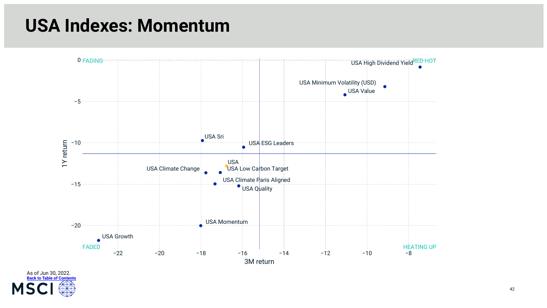### **USA Indexes: Momentum**



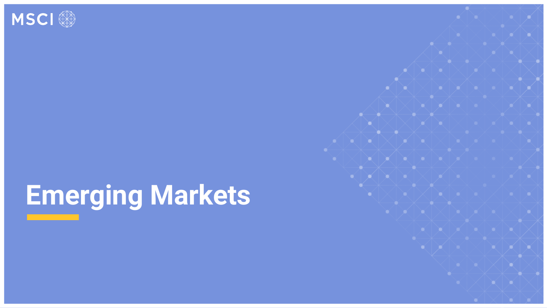<span id="page-42-0"></span>

# **Emerging Markets**

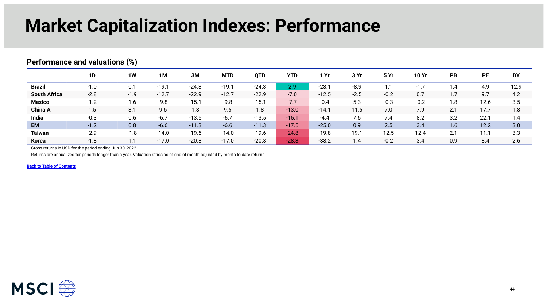### **Market Capitalization Indexes: Performance**

|                     | <b>1D</b> | 1W     | 1M      | 3M      | <b>MTD</b> | <b>QTD</b> | <b>YTD</b> | l Yr    | 3 Yr   | 5 Yr   | <b>10 Yr</b> | <b>PB</b> | <b>PE</b> | <b>DY</b> |
|---------------------|-----------|--------|---------|---------|------------|------------|------------|---------|--------|--------|--------------|-----------|-----------|-----------|
| <b>Brazil</b>       | $-1.0$    | 0.1    | $-19.1$ | $-24.3$ | $-19.1$    | $-24.3$    | 2.9        | $-23.7$ | $-8.9$ | . .    | $-1.7$       | .4        | 4.9       | 12.9      |
| <b>South Africa</b> | $-2.8$    | $-1.9$ | $-12.7$ | $-22.9$ | $-12.7$    | $-22.9$    | $-7.0$     | $-12.5$ | $-2.5$ | $-0.2$ | 0.7          | 1.7       | 9.7       | 4.2       |
| <b>Mexico</b>       | $-1.2$    | 1.6    | $-9.8$  | $-15.1$ | $-9.8$     | $-15.1$    | $-7.7$     | $-0.4$  | 5.3    | $-0.3$ | $-0.2$       | 1.8       | 12.6      | 3.5       |
| <b>China A</b>      | 1.5       | 3.1    | 9.6     | 1.8     | 9.6        | 1.8        | $-13.0$    | $-14.1$ | 11.6   | 7.0    | 7.9          | 2.1       | 17.7      | 1.8       |
| India               | $-0.3$    | 0.6    | $-6.7$  | $-13.5$ | $-6.7$     | $-13.5$    | $-15.1$    | $-4.4$  | 7.6    | 7.4    | 8.2          | 3.2       | 22.1      | 1.4       |
| <b>EM</b>           | $-1.2$    | 0.8    | $-6.6$  | $-11.3$ | $-6.6$     | $-11.3$    | $-17.5$    | $-25.0$ | 0.9    | 2.5    | 3.4          | 1.6       | 12.2      | 3.0       |
| <b>Taiwan</b>       | $-2.9$    | $-1.8$ | $-14.0$ | $-19.6$ | $-14.0$    | $-19.6$    | $-24.8$    | $-19.8$ | 19.1   | 12.5   | 12.4         | 2.1       | 11.1      | 3.3       |
| <b>Korea</b>        | $-1.8$    | 1.1    | $-17.0$ | $-20.8$ | $-17.0$    | $-20.8$    | $-28.3$    | $-38.2$ | 1.4    | $-0.2$ | 3.4          | 0.9       | 8.4       | 2.6       |

#### <span id="page-43-0"></span>**Performance and valuations (%)**

Gross returns in USD for the period ending Jun 30, 2022

Returns are annualized for periods longer than a year. Valuation ratios as of end of month adjusted by month to date returns.

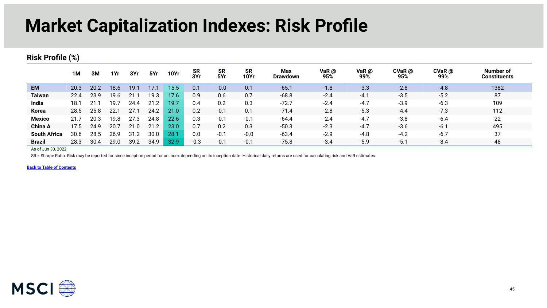### **Market Capitalization Indexes: Risk Profile**

#### **Risk Profile (%)**

|                     | 1M   | 3M   | 1Yr  | 3Yr  | 5Yr  | <b>10Yr</b> | <b>SR</b><br>3Yr | <b>SR</b><br>5Yr | <b>SR</b><br><b>10Yr</b> | Max<br><b>Drawdown</b> | VaR $@$<br>95% | VaR $\omega$<br>99% | $CVaR$ @<br>95% | $CVaR$ @<br>99% | Number of<br><b>Constituents</b> |
|---------------------|------|------|------|------|------|-------------|------------------|------------------|--------------------------|------------------------|----------------|---------------------|-----------------|-----------------|----------------------------------|
| <b>EM</b>           | 20.3 | 20.2 | 18.6 | 19.1 | 17.1 | 15.5        | 0.1              | $-0.0$           | 0.1                      | $-65.1$                | $-1.8$         | $-3.3$              | $-2.8$          | $-4.8$          | 1382                             |
| <b>Taiwan</b>       | 22.4 | 23.9 | 19.6 | 21.7 | 19.3 | 17.6        | 0.9              | 0.6              | 0.7                      | $-68.8$                | $-2.4$         | $-4.1$              | $-3.5$          | $-5.2$          | 87                               |
| India               | 18.1 |      | 19.  | 24.4 | 21.2 | 19.7        | 0.4              | 0.2              | 0.3                      | $-72.7$                | $-2.4$         | $-4.7$              | $-3.9$          | $-6.3$          | 109                              |
| <b>Korea</b>        | 28.5 | 25.8 | 22.1 | 27.1 | 24.2 | 21.0        | 0.2              | $-0.1$           | 0.1                      | $-71.4$                | $-2.8$         | $-5.3$              | $-4.4$          | $-7.3$          | 112                              |
| <b>Mexico</b>       | 21.7 | 20.3 | 19.8 | 27.3 | 24.8 | 22.6        | 0.3              | $-0.1$           | $-0.1$                   | $-64.4$                | $-2.4$         | $-4.7$              | $-3.8$          | $-6.4$          | 22                               |
| <b>China A</b>      | 17.5 | 24.9 | 20.7 | 21.0 | 21.2 | 23.0        | 0.7              | 0.2              | 0.3                      | $-50.3$                | $-2.3$         | $-4.7$              | $-3.6$          | $-6.1$          | 495                              |
| <b>South Africa</b> | 30.6 | 28.5 | 26.9 | 31.2 | 30.0 | 28.7        | 0.0              | $-0.1$           | $-0.0$                   | $-63.4$                | $-2.9$         | $-4.8$              | $-4.2$          | $-6.7$          | 37                               |
| <b>Brazil</b>       | 28.3 | 30.4 | 29.0 | 39.2 | 34.9 | 32.9        | $-0.3$           | $-0.1$           | $-0.1$                   | $-75.8$                | $-3.4$         | $-5.9$              | $-5.1$          | $-8.4$          | 48                               |

As of Jun 30, 2022

SR = Sharpe Ratio. Risk may be reported for since inception period for an index depending on its inception date. Historical daily returns are used for calculating risk and VaR estimates.

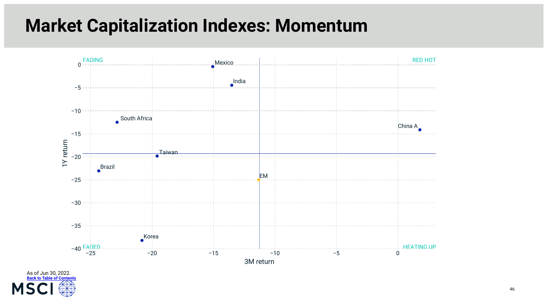### **Market Capitalization Indexes: Momentum**



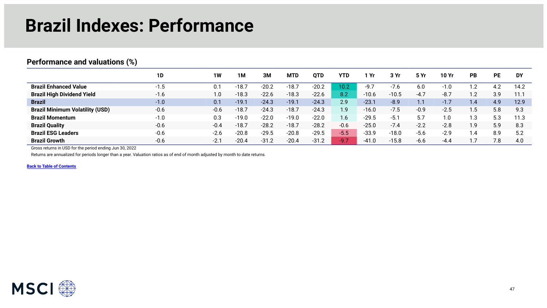### **Brazil Indexes: Performance**

#### <span id="page-46-0"></span>**Performance and valuations (%)**

|                                        | 1D     | <b>1W</b> | 1M      | 3M      | <b>MTD</b> | <b>OTD</b> | YTD         | Yr      | 3 Yr    | 5 Yr   | 10 Yr  | PB               | РE  | <b>DY</b> |
|----------------------------------------|--------|-----------|---------|---------|------------|------------|-------------|---------|---------|--------|--------|------------------|-----|-----------|
| <b>Brazil Enhanced Value</b>           | $-1.5$ | 0.1       | $-18.7$ | $-20.2$ | $-18.7$    | $-20.2$    | 10.2        | $-9.7$  | $-7.6$  | 6.0    | $-1.0$ | ົາ<br>. <u>.</u> | 4.2 | 14.2      |
| <b>Brazil High Dividend Yield</b>      | $-1.6$ | 0. ا      | $-18.3$ | $-22.6$ | $-18.3$    | $-22.6$    | 8.2         | $-10.6$ | $-10.5$ | $-4.7$ | $-8.7$ | $\cdot$ .2       | 3.9 | 11.1      |
| <b>Brazil</b>                          | $-1.0$ | 0.1       | $-19.1$ | $-24.3$ | $-19.1$    | $-24.3$    | 2.9         | $-23.1$ | $-8.9$  | 1.1    | $-1.7$ | $\overline{1.4}$ | 4.9 | 12.9      |
| <b>Brazil Minimum Volatility (USD)</b> | $-0.6$ | $-0.6$    | $-18.7$ | $-24.3$ | $-18.7$    | $-24.3$    | 1.9         | $-16.0$ | $-7.5$  | $-0.9$ | $-2.5$ | $.5\,$           | 5.8 | 9.3       |
| <b>Brazil Momentum</b>                 | $-1.0$ | 0.3       | $-19.0$ | $-22.0$ | $-19.0$    | $-22.0$    | .6          | $-29.5$ | $-5.7$  | 5.7    | 1.0    | .3               | 52  | 11.3      |
| <b>Brazil Quality</b>                  | $-0.6$ | $-0.4$    | $-18.7$ | $-28.2$ | $-18.7$    | $-28.2$    | $-0.6$      | $-25.0$ | $-7.4$  | $-2.2$ | $-2.8$ | 9.،              | 5.9 | 8.3       |
| <b>Brazil ESG Leaders</b>              | $-0.6$ | $-2.6$    | $-20.8$ | $-29.5$ | $-20.8$    | $-29.5$    | $-5.5$      | $-33.9$ | $-18.0$ | $-5.6$ | $-2.9$ | . .4             | 8.9 | 5.2       |
| <b>Brazil Growth</b>                   | $-0.6$ | $-2.1$    | $-20.4$ | $-31.2$ | $-20.4$    | $-31.2$    | <b>AQ</b> 7 | $-41.0$ | $-15.8$ | $-6.6$ | -4.4   |                  | 7.8 | 4.0       |

Gross returns in USD for the period ending Jun 30, 2022

Returns are annualized for periods longer than a year. Valuation ratios as of end of month adjusted by month to date returns.

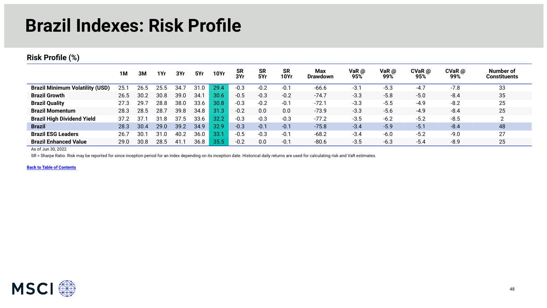### **Brazil Indexes: Risk Profile**

#### **Risk Profile (%)**

|                                        | 1M   | ЗΜ   | 1Yr  | 3Yr    | 5Yr  | <b>10Yr</b> | <b>SR</b><br>3Yr | <b>SR</b><br>5Yr | <b>SR</b><br><b>10Yr</b> | Max<br><b>Drawdown</b> | VaR @<br>95% | VaR $\omega$<br>99% | $CVaR$ @<br>95% | $CVaR$ $@$<br>99% | Number of<br><b>Constituents</b> |
|----------------------------------------|------|------|------|--------|------|-------------|------------------|------------------|--------------------------|------------------------|--------------|---------------------|-----------------|-------------------|----------------------------------|
| <b>Brazil Minimum Volatility (USD)</b> | 25.7 | 26.5 |      | 34.    | 31.0 | 29.4        | $-0.3$           | $-0.2$           | $-0.1$                   | $-66.6$                | $-3.1$       | $-5.3$              | $-4.7$          | $-7.8$            | 33                               |
| <b>Brazil Growth</b>                   | 26.5 | 30.2 | 30.8 | 39.0   | 34.7 | 30.6        | $-0.5$           | $-0.3$           | $-0.2$                   | $-74.7$                | $-3.3$       | $-5.8$              | $-5.0$          | $-8.4$            | 35                               |
| <b>Brazil Quality</b>                  | 27.3 | 29.  | 28.8 | 38.0   | 33.6 | 30.8        | $-0.3$           | $-0.2$           | $-0.1$                   | $-72.1$                | $-3.3$       | $-5.5$              | $-4.9$          | $-8.2$            | 25                               |
| <b>Brazil Momentum</b>                 | 28.3 | 28.5 | 28.7 | 39.8   | 34.8 | 31.3        | $-0.2$           | 0.0              | 0.0                      | $-73.9$                | $-3.3$       | $-5.6$              | $-4.9$          | $-8.4$            | 25                               |
| <b>Brazil High Dividend Yield</b>      | 37.2 | 37.3 | 31   | 37.5   | 33.6 | 32.2        | $-0.3$           | $-0.3$           | $-0.3$                   | $-77.2$                | $-3.5$       | $-6.2$              | $-5.2$          | $-8.5$            |                                  |
| <b>Brazil</b>                          | 28.3 | 30.4 | 29.0 | 39.2   | 34.9 | 32.9        | $-0.3$           | $-0.1$           | $-0.1$                   | $-75.8$                | $-3.4$       | $-5.9$              | $-5.1$          | $-8.4$            | 48                               |
| <b>Brazil ESG Leaders</b>              | 26.7 | 30.  | 31   | 40.2   | 36.0 | 33.1        | $-0.5$           | $-0.3$           | $-0.1$                   | $-68.2$                | $-3.4$       | $-6.0$              | $-5.2$          | $-9.0$            | 27                               |
| <b>Brazil Enhanced Value</b>           | 29.0 | 30.8 | 28.5 | $-41.$ | 36.8 | 35.5        | $-0.2$           | 0.0              | $-0.1$                   | $-80.6$                | $-3.5$       | $-6.3$              | $-5.4$          | $-8.9$            | 25                               |

As of Jun 30, 2022

SR = Sharpe Ratio. Risk may be reported for since inception period for an index depending on its inception date. Historical daily returns are used for calculating risk and VaR estimates.

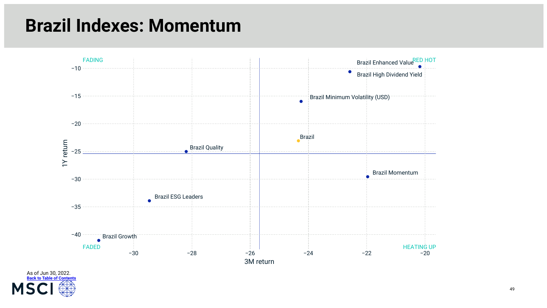### **Brazil Indexes: Momentum**



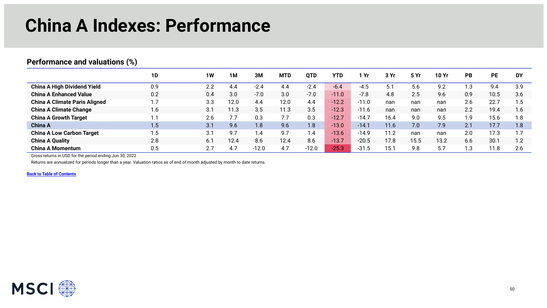### **China A Indexes: Performance**

#### <span id="page-49-0"></span>**Performance and valuations (%)**

|                                      | 1D           | 1W  | 1M   | 3M      | <b>MTD</b> | <b>QTD</b> | YTD     | Yr      | 3 Yr | 5 Yr | 10 Yr | <b>PB</b> | РE   | <b>DY</b> |
|--------------------------------------|--------------|-----|------|---------|------------|------------|---------|---------|------|------|-------|-----------|------|-----------|
| <b>China A High Dividend Yield</b>   | 0.9          | 2.2 | 4.4  | $-2.4$  | 4.4        | $-2.4$     | $-6.4$  | $-4.5$  | 5.1  | 5.6  | 9.2   | 1.3       | 9.4  | 3.9       |
| <b>China A Enhanced Value</b>        | 0.2          | 0.4 | 3.0  | $-7.0$  | 3.0        | $-7.0$     | $-11.0$ | $-7.8$  | 4.8  | 2.5  | 9.6   | 0.9       | 10.5 | 3.6       |
| <b>China A Climate Paris Aligned</b> | $\mathsf{L}$ | 3.3 | 12.0 | 4.4     | 12.0       | 4.4        | $-12.2$ | $-11.0$ | nan  | nan  | nan   | 2.6       | 22.7 | .5        |
| <b>China A Climate Change</b>        | 1.6          | 3.1 | 11.3 | 3.5     | 11.3       | 3.5        | $-12.3$ | $-11.6$ | nan  | nan  | nan   | 2.2       | 19.4 | 1.6       |
| <b>China A Growth Target</b>         | $\mathbf{L}$ | 2.6 | 7.7  | 0.3     | 7.7        | 0.3        | $-12.7$ | $-14.7$ | 16.4 | 9.0  | 9.5   | 1.9       | 15.6 | 1.8       |
| <b>China A</b>                       | 1.5          | 3.1 | 9.6  | 1.8     | 9.6        | 1.8        | $-13.0$ | $-14.1$ | 11.6 | 7.0  | 7.9   | 2.1       | 17.7 | 1.8       |
| <b>China A Low Carbon Target</b>     | 1.5          | 3.1 | 9.7  | 1.4     | 9.7        | 1.4        | $-13.6$ | $-14.9$ | 11.2 | nan  | nan   | 2.0       | 17.3 |           |
| <b>China A Quality</b>               | 2.8          | 6.1 | 12.4 | 8.6     | 12.4       | 8.6        | $-13.7$ | $-20.5$ | 17.8 | 15.5 | 13.2  | 6.6       | 30.1 | 1.2       |
| <b>China A Momentum</b>              | 0.5          | 2.7 | 4.7  | $-12.0$ | 4.7        | $-12.0$    | $-25.3$ | $-31.5$ | 15.1 | 9.8  | 5.7   | 1.3       | 11.8 | 2.6       |

Gross returns in USD for the period ending Jun 30, 2022

Returns are annualized for periods longer than a year. Valuation ratios as of end of month adjusted by month to date returns.

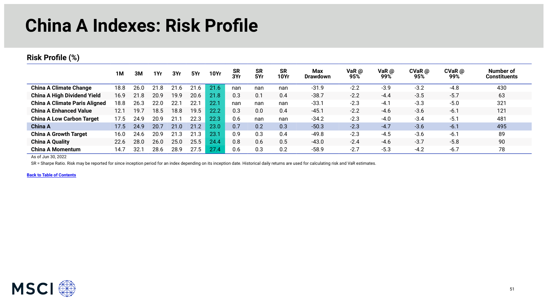### **China A Indexes: Risk Profile**

#### **Risk Profile (%)**

|                                      | 1M   | 3M   | 1Yr  | 3Yr  | 5Yr      | <b>10Yr</b> | <b>SR</b><br>3Yr | <b>SR</b><br>5Yr | <b>SR</b><br>10Yr | <b>Max</b><br>Drawdown | VaR $\omega$<br>95% | VaR $@$<br>99% | $CVaR$ $@$<br>95% | $CVaR$ @<br>99% | Number of<br>Constituents |
|--------------------------------------|------|------|------|------|----------|-------------|------------------|------------------|-------------------|------------------------|---------------------|----------------|-------------------|-----------------|---------------------------|
| <b>China A Climate Change</b>        | 18.8 | 26.0 | 21.8 | 21.6 | 21<br>.6 | 21.6        | nan              | nan              | nan               | $-31.9$                | $-2.2$              | $-3.9$         | $-3.2$            | $-4.8$          | 430                       |
| <b>China A High Dividend Yield</b>   | 16.9 | 21.8 | 20.9 | 19.9 | 20.6     | 21.8        | 0.3              | 0.1              | 0.4               | $-38.7$                | $-2.2$              | $-4.4$         | $-3.5$            | $-5.7$          | 63                        |
| <b>China A Climate Paris Aligned</b> | 18.8 | 26.3 | 22.0 | 22.1 | 22.1     | 22.7        | nan              | nan              | nan               | $-33.1$                | $-2.3$              | $-4.1$         | $-3.3$            | $-5.0$          | 321                       |
| <b>China A Enhanced Value</b>        | 12.1 | 19.7 | 18.5 | 18.8 | 19.5     | 22.2        | 0.3              | 0.0              | 0.4               | $-45.1$                | $-2.2$              | $-4.6$         | $-3.6$            | $-6.1$          | 121                       |
| <b>China A Low Carbon Target</b>     | 17.5 | 24.9 | 20.9 | 21.1 | 22.3     | 22.3        | 0.6              | nan              | nan               | $-34.2$                | $-2.3$              | $-4.0$         | $-3.4$            | $-5.1$          | 481                       |
| China A                              | 17.5 | 24.9 | 20.7 | 21.0 | 21.2     | 23.0        | 0.7              | 0.2              | 0.3               | $-50.3$                | $-2.3$              | $-4.7$         | $-3.6$            | $-6.1$          | 495                       |
| <b>China A Growth Target</b>         | 16.0 | 24.6 | 20.9 | 21.3 | 21<br>.3 | 23.         | 0.9              | 0.3              | 0.4               | $-49.8$                | $-2.3$              | $-4.5$         | $-3.6$            | $-6.1$          | 89                        |
| <b>China A Quality</b>               | 22.6 | 28.0 | 26.0 | 25.0 | 25.5     | 24.4        | 0.8              | 0.6              | 0.5               | $-43.0$                | $-2.4$              | $-4.6$         | $-3.7$            | $-5.8$          | 90                        |
| <b>China A Momentum</b>              | 14.7 | 32.1 | 28.6 | 28.9 | 27.5     | 27.4        | 0.6              | 0.3              | 0.2               | $-58.9$                | $-2.7$              | $-5.3$         | $-4.2$            | $-6.7$          | 78                        |

As of Jun 30, 2022

SR = Sharpe Ratio. Risk may be reported for since inception period for an index depending on its inception date. Historical daily returns are used for calculating risk and VaR estimates.

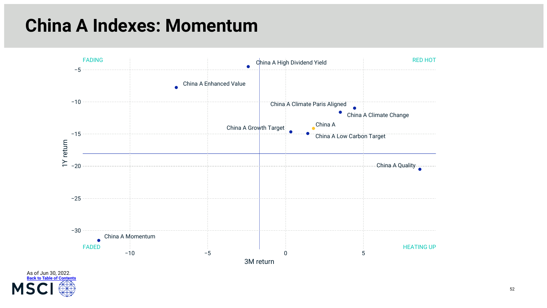### **China A Indexes: Momentum**



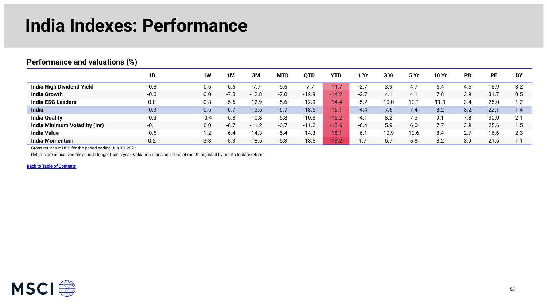### **India Indexes: Performance**

#### <span id="page-52-0"></span>**Performance and valuations (%)**

|                                       | 1D     | 1W     | 1M     | 3M      | <b>MTD</b> | <b>OTD</b> | <b>YTD</b>               | Yr     | 3 Yr | 5 Yr | 10 Yr | <b>PB</b> | PE   | <b>DY</b> |
|---------------------------------------|--------|--------|--------|---------|------------|------------|--------------------------|--------|------|------|-------|-----------|------|-----------|
| <b>India High Dividend Yield</b>      | $-0.8$ | 0.6    | $-5.6$ |         | $-5.6$     | $-77$      | $\blacktriangledown$ 11. | $-2.7$ | 3.9  | 4.7  | 6.4   | 4.5       | 18.9 | 3.2       |
| <b>India Growth</b>                   | $-0.0$ | 0.0    | $-7.0$ | $-12.8$ | $-7.0$     | $-12.8$    | $-14.2$                  | $-2.7$ | 4.1  | 4.1  | 7.8   | 3.9       | 31.7 | 0.5       |
| <b>India ESG Leaders</b>              | 0.0    | 0.8    | $-5.6$ | $-12.9$ | $-5.6$     | $-12.9$    | $-14.4$                  | $-5.2$ | 10.0 | 10.1 | 11.1  | 3.4       | 25.0 | 12        |
| India                                 | $-0.3$ | 0.6    | $-6.7$ | $-13.5$ | $-6.7$     | $-13.5$    | $\sqrt{-15}$             | $-4.4$ | 7.6  | 7.4  | 8.2   | 3.2       | 22.7 | 1.4       |
| <b>India Quality</b>                  | $-0.3$ | $-0.4$ | $-5.8$ | $-10.8$ | $-5.8$     | $-10.8$    | $-15.2$                  | $-4.1$ | 8.2  | 7.3  | Q 1   | 7.8       | 30.0 | 2.1       |
| <b>India Minimum Volatility (Inr)</b> | $-0.1$ | 0.0    | $-6.7$ | $-11.2$ | $-6.7$     | $-11.2$    | $-15.6$                  | $-6.4$ | 5.9  | 6.0  |       | 3.9       | 25.6 | 5.،       |
| <b>India Value</b>                    | $-0.5$ | 2. ا   | $-6.4$ | $-14.3$ | $-6.4$     | $-14.3$    | $\sqrt{16}$              | $-6.7$ | 10.9 | 10.6 | 8.4   | 2.7       | 16.6 | 2.3       |
| <b>India Momentum</b>                 | 0.2    | 3.3    | $-5.3$ | $-18.5$ | $-5.3$     | $-18.5$    | $-18.2$                  |        | 5.7  | 5.8  | 8.2   | 3.9       | 21.6 |           |

Gross returns in USD for the period ending Jun 30, 2022

Returns are annualized for periods longer than a year. Valuation ratios as of end of month adjusted by month to date returns.

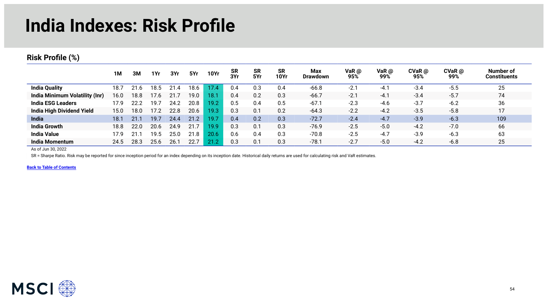### **India Indexes: Risk Profile**

#### **Risk Profile (%)**

|                                | 1M   | 3M   | 1Yr  | 3Yr        | 5Yr  | <b>10Yr</b> | <b>SR</b><br>3Yr | <b>SR</b><br>5Yr | <b>SR</b><br>10Yr | Max<br><b>Drawdown</b> | VaR $@$<br>95% | VaR @<br>99% | $CVaR$ $@$<br>95% | $CVaR$ @<br>99% | Number of<br><b>Constituents</b> |
|--------------------------------|------|------|------|------------|------|-------------|------------------|------------------|-------------------|------------------------|----------------|--------------|-------------------|-----------------|----------------------------------|
| <b>India Quality</b>           | 18.7 |      | 18.  | $.4 \cdot$ | 18.6 | 17.4        | 0.4              | 0.3              | 0.4               | $-66.8$                | $-2.1$         | $-4.1$       | $-3.4$            | $-5.5$          | 25                               |
| India Minimum Volatility (Inr) | 16.0 | 18.8 | 17.6 |            | 19.0 | 18.1        | 0.4              | 0.2              | 0.3               | $-66.7$                | $-2.1$         | $-4.1$       | $-3.4$            | $-5.7$          | 74                               |
| <b>India ESG Leaders</b>       | 17.9 | 22.2 | 19.7 | 24.2       | 20.8 | 19.2        | 0.5              | 0.4              | 0.5               | $-67.1$                | $-2.3$         | $-4.6$       | $-3.7$            | $-6.2$          | 36                               |
| India High Dividend Yield      | 15.0 | 18.0 | 17.2 | 22.8       | 20.6 | 19.3        | 0.3              | 0.1              | 0.2               | $-64.3$                | $-2.2$         | $-4.2$       | $-3.5$            | $-5.8$          | 17                               |
| India                          | 18.1 | 21.1 | 19.7 | 24.4       | 21.2 | 19.7        | 0.4              | 0.2              | 0.3               | $-72.7$                | $-2.4$         | $-4.7$       | $-3.9$            | $-6.3$          | 109                              |
| <b>India Growth</b>            | 18.8 | 22.0 | 20.6 | 24.9       | 21.7 | 19.9        | 0.3              | 0.1              | 0.3               | $-76.9$                | $-2.5$         | $-5.0$       | $-4.2$            | $-7.0$          | 66                               |
| <b>India Value</b>             | 17.9 | 21   | 19.5 | 25.0       | 21.8 | 20.6        | 0.6              | 0.4              | 0.3               | $-70.8$                | $-2.5$         | $-4.7$       | $-3.9$            | $-6.3$          | 63                               |
| <b>India Momentum</b>          | 24.5 | 28.3 | 25.6 | 26.        | 22.7 | 21.2        | 0.3              | 0.1              | 0.3               | $-78.1$                | $-2.7$         | $-5.0$       | $-4.2$            | $-6.8$          | 25                               |

As of Jun 30, 2022

SR = Sharpe Ratio. Risk may be reported for since inception period for an index depending on its inception date. Historical daily returns are used for calculating risk and VaR estimates.

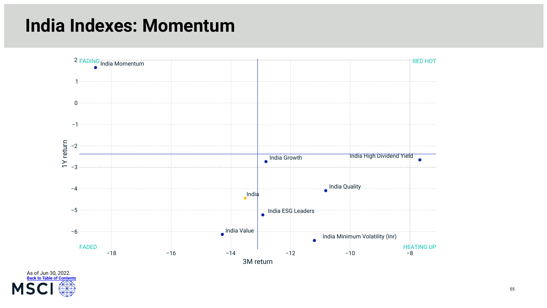### **India Indexes: Momentum**



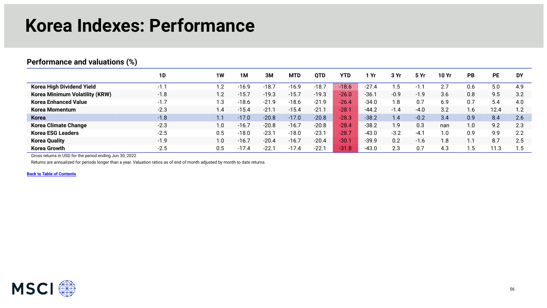#### **Korea Indexes: Performance**

#### <span id="page-55-0"></span>**Performance and valuations (%)**

|                                       | 1D     | <b>1W</b>               | 1M      | 3M      | <b>MTD</b> | OTD     | <b>YTD</b> | Yr      | 3 Yr   | 5Yr    | 10 Yr | <b>PB</b> | <b>PE</b> | <b>DY</b> |
|---------------------------------------|--------|-------------------------|---------|---------|------------|---------|------------|---------|--------|--------|-------|-----------|-----------|-----------|
| Korea High Dividend Yield             | $-1.1$ | $\overline{2}$          | $-16.9$ | $-18.7$ | $-16.9$    | $-18.7$ | $-18.6$    | $-27.4$ | ۱.5    | -1     | っっ    | 0.6       | 5.0       | 4.9       |
| <b>Korea Minimum Volatility (KRW)</b> | $-1.8$ | 1.2                     | $-15.7$ | $-19.3$ | $-15.7$    | $-19.3$ | $-26.0$    | $-36.1$ | $-0.9$ | $-1.9$ | 3.6   | 0.8       | 9.5       | 3.2       |
| <b>Korea Enhanced Value</b>           | $-1.7$ | $\mathsf{L}.\mathsf{3}$ | $-18.6$ | $-21.9$ | $-18.6$    | $-21.9$ | $-26.4$    | $-34.0$ | 1.8    | 0.7    | 6.9   | 0.7       | 5.4       | 4.0       |
| Korea Momentum                        | $-2.3$ | 1.4                     | $-15.4$ | $-21.$  | $-15.4$    | $-21.7$ | <b>28.</b> | $-44.2$ | $-1.4$ | $-4.0$ | 3.2   | .6        | 12.4      | 1.2       |
| Korea                                 | $-1.8$ | 1.1                     | $-17.0$ | $-20.8$ | $-17.0$    | $-20.8$ | $-28.3$    | $-38.2$ | 1.4    | $-0.2$ | 3.4   | 0.9       | 8.4       | 2.6       |
| <b>Korea Climate Change</b>           | $-2.3$ | $1.0\,$                 | $-16.7$ | $-20.8$ | $-16.7$    | $-20.8$ | $-28.4$    | $-38.2$ | 1.9    | 0.3    | nan   | 1.0       | 9.2       | 2.3       |
| <b>Korea ESG Leaders</b>              | $-2.5$ | 0.5                     | $-18.0$ | $-23.7$ | $-18.0$    | $-23.1$ | $-28.7$    | $-43.0$ | $-3.2$ | $-4.1$ | .0    | 0.9       | 9.9       | 2.2       |
| <b>Korea Quality</b>                  | $-1.9$ | 1.0                     | $-16.7$ | $-20.4$ | $-16.7$    | $-20.4$ | $-30.7$    | $-39.9$ | 0.2    | $-1.6$ | . .8  | Ι.        | 8.7       | 2.5       |
| <b>Korea Growth</b>                   | $-2.5$ | $0.5\,$                 | $-17.4$ | $-22.$  | $-17.4$    | $-22.1$ | $-31.8$    | $-43.0$ | 2.3    | 0.7    | 4.3   | ں ، ا     | 11.3      | .5        |

Gross returns in USD for the period ending Jun 30, 2022

Returns are annualized for periods longer than a year. Valuation ratios as of end of month adjusted by month to date returns.

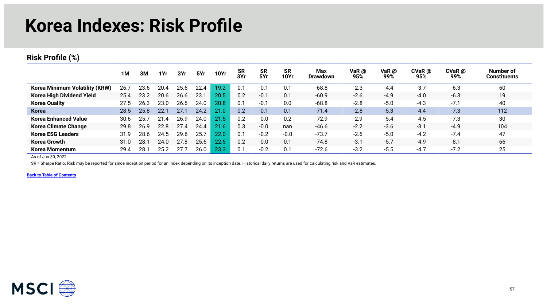#### **Korea Indexes: Risk Profile**

#### **Risk Profile (%)**

|                                       | 1M   | зм   | 1Yr  | 3Yr  | 5Yr  | <b>10Yr</b> | <b>SR</b><br>3Yr | <b>SR</b><br>5Yr | <b>SR</b><br><b>10Yr</b> | Max<br><b>Drawdown</b> | VaR @<br>95% | VaR $\omega$<br>99% | $CVaR$ $@$<br>95% | $CVaR$ $@$<br>99% | Number of<br><b>Constituents</b> |
|---------------------------------------|------|------|------|------|------|-------------|------------------|------------------|--------------------------|------------------------|--------------|---------------------|-------------------|-------------------|----------------------------------|
| <b>Korea Minimum Volatility (KRW)</b> | 26.7 | 23.6 | 20.4 | 25.6 | 22.4 | 19.2        | 0.1              | $-0.1$           | 0.1                      | $-68.8$                | $-2.3$       | $-4.4$              | $-3.7$            | $-6.3$            | 60                               |
| <b>Korea High Dividend Yield</b>      | 25.4 | 23.2 | 20.6 | 26.6 | 23.7 | 20.5        | 0.2              | $-0.1$           | 0.1                      | $-60.9$                | $-2.6$       | $-4.9$              | $-4.0$            | $-6.3$            | 19                               |
| <b>Korea Quality</b>                  | 27.5 | 26.3 | 23.0 | 26.6 | 24.0 | 20.8        | 0.1              | $-0.1$           | 0.0                      | $-68.8$                | $-2.8$       | $-5.0$              | $-4.3$            | $-7.1$            | 40                               |
| Korea                                 | 28.5 | 25.8 | 22.1 | 27.7 | 24.2 | 21.0        | 0.2              | $-0.1$           | 0.1                      | $-71.4$                | $-2.8$       | $-5.3$              | $-4.4$            | $-7.3$            | 112                              |
| <b>Korea Enhanced Value</b>           | 30.6 | 25.7 | 21.4 | 26.9 | 24.0 | 21.5        | 0.2              | $-0.0$           | 0.2                      | $-72.9$                | $-2.9$       | $-5.4$              | $-4.5$            | $-7.3$            | 30                               |
| <b>Korea Climate Change</b>           | 29.8 | 26.9 | 22.8 | 27.4 | 24.4 | 21.6        | 0.3              | $-0.0$           | nan                      | $-46.6$                | $-2.2$       | $-3.6$              | $-3.1$            | $-4.9$            | 104                              |
| <b>Korea ESG Leaders</b>              | 31.9 | 28.6 | 24.5 | 29.6 | 25.7 | 22.0        | 0.1              | $-0.2$           | $-0.0$                   | $-73.7$                | $-2.6$       | $-5.0$              | $-4.2$            | $-7.4$            | 47                               |
| <b>Korea Growth</b>                   | 31.0 | 28.  | 24.0 | 27.8 | 25.6 | 22.5        | 0.2              | $-0.0$           | 0.1                      | $-74.8$                | $-3.1$       | $-5.7$              | $-4.9$            | $-8.1$            | 66                               |
| <b>Korea Momentum</b>                 | 29.4 | 28.  | 25.2 |      | 26.0 | 23.3        | 0.1              | $-0.2$           | 0.1                      | $-72.6$                | $-3.2$       | $-5.5$              | $-4.7$            | $-7.2$            | 25                               |

As of Jun 30, 2022

SR = Sharpe Ratio. Risk may be reported for since inception period for an index depending on its inception date. Historical daily returns are used for calculating risk and VaR estimates.

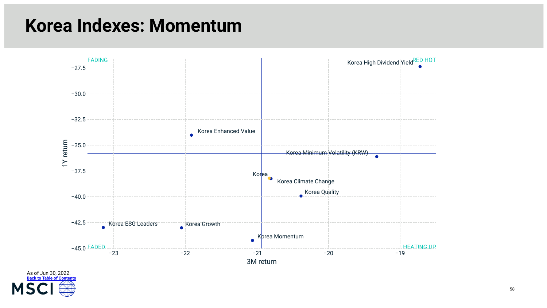#### **Korea Indexes: Momentum**



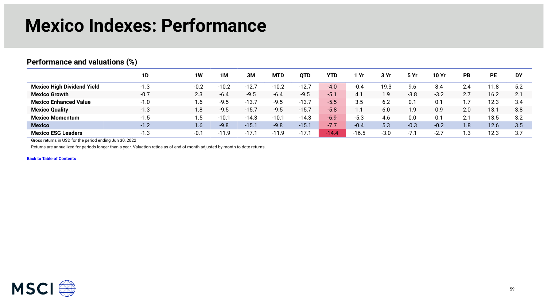### **Mexico Indexes: Performance**

#### <span id="page-58-0"></span>**Performance and valuations (%) 1D 1W 1M 3M MTD QTD YTD 1 Yr 3 Yr 5 Yr 10 Yr PB PE DY**  Mexico High Dividend Yield **-1.3** -0.2 -10.2 -12.7 -10.2 -12.7 -4.0 -0.4 19.3 9.6 8.4 2.4 11.8 5.2 **Mexico Growth** -0.7 2.3 -6.4 -9.5 -6.4 -9.5 -5.1 4.1 1.9 -3.8 -3.2 2.7 16.2 2.1 **Mexico Enhanced Value** -1.0 1.6 -9.5 -13.7 -9.5 -13.7 -5.5 3.5 6.2 0.1 0.1 1.7 12.3 3.4 **Mexico Quality -**1.3 1.8 -9.5 -15.7 -9.5 -15.7 -5.8 1.1 6.0 1.9 0.9 2.0 13.1 3.8 **Mexico Momentum** -1.5 1.5 -10.1 -14.3 -10.1 -14.3 -6.9 -5.3 4.6 0.0 0.1 2.1 13.5 3.2 **Mexico** -1.2 1.6 -9.8 -15.1 -9.8 -15.1 -7.7 -0.4 5.3 -0.3 -0.2 1.8 12.6 3.5 **Mexico ESG Leaders** -1.3 -0.1 -11.9 -17.1 -11.9 -17.1 -14.4 -16.5 -3.0 -7.1 -2.7 1.3 12.3 3.7

Gross returns in USD for the period ending Jun 30, 2022

Returns are annualized for periods longer than a year. Valuation ratios as of end of month adjusted by month to date returns.

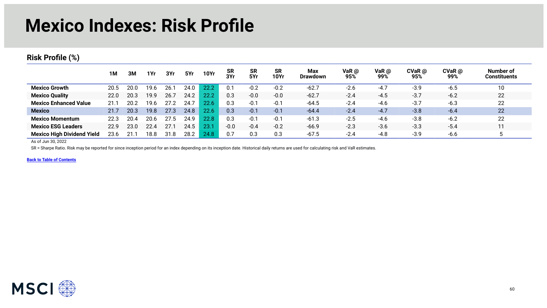#### **Mexico Indexes: Risk Profile**

#### **Risk Profile (%)**

|                                   | 1M   | 3M   | 1Yr  | 3Yr  | 5Yr  | <b>10Yr</b> | <b>SR</b><br>3Yr | <b>SR</b><br>5Yr | <b>SR</b><br><b>10Yr</b> | Max<br><b>Drawdown</b> | VaR @<br>95% | VaR $@$<br>99% | $CVaR$ $@$<br>95% | $CVaR$ @<br>99% | Number of<br><b>Constituents</b> |
|-----------------------------------|------|------|------|------|------|-------------|------------------|------------------|--------------------------|------------------------|--------------|----------------|-------------------|-----------------|----------------------------------|
| <b>Mexico Growth</b>              | 20.5 | 20.0 | 19.6 | 26.  | 24.0 | 22.2        | 0.1              | $-0.2$           | $-0.2$                   | $-62.7$                | $-2.6$       | $-4.7$         | $-3.9$            | $-6.5$          | 10                               |
| <b>Mexico Quality</b>             | 22.0 | 20.3 | 19.9 | 26.7 | 24.2 | 22.2        | 0.3              | $-0.0$           | $-0.0$                   | $-62.7$                | $-2.4$       | $-4.5$         | $-3.7$            | $-6.2$          | 22                               |
| <b>Mexico Enhanced Value</b>      | 21.1 | 20.2 | 19.6 | 27.2 | 24.7 | 22.6        | 0.3              | $-0.1$           | $-0.1$                   | $-64.5$                | $-2.4$       | $-4.6$         | $-3.7$            | $-6.3$          | 22                               |
| <b>Mexico</b>                     | 21.7 | 20.3 | 19.8 | 27.3 | 24.8 | 22.6        | 0.3              | $-0.1$           | $-0.1$                   | $-64.4$                | $-2.4$       | $-4.7$         | $-3.8$            | $-6.4$          | 22                               |
| <b>Mexico Momentum</b>            | 22.3 | 20.4 | 20.6 | 27.5 | 24.9 | 22.8        | 0.3              | $-0.1$           | $-0.1$                   | $-61.3$                | $-2.5$       | $-4.6$         | $-3.8$            | $-6.2$          | 22                               |
| <b>Mexico ESG Leaders</b>         | 22.9 | 23.0 | 22.4 | 27.7 | 24.5 | 23.         | $-0.0$           | $-0.4$           | $-0.2$                   | $-66.9$                | $-2.3$       | $-3.6$         | $-3.3$            | $-5.4$          |                                  |
| <b>Mexico High Dividend Yield</b> | 23.6 |      | 18.8 | 31.8 | 28.2 | 24.8        | 0.7              | 0.3              | 0.3                      | $-67.5$                | $-2.4$       | $-4.8$         | $-3.9$            | $-6.6$          |                                  |

As of Jun 30, 2022

SR = Sharpe Ratio. Risk may be reported for since inception period for an index depending on its inception date. Historical daily returns are used for calculating risk and VaR estimates.

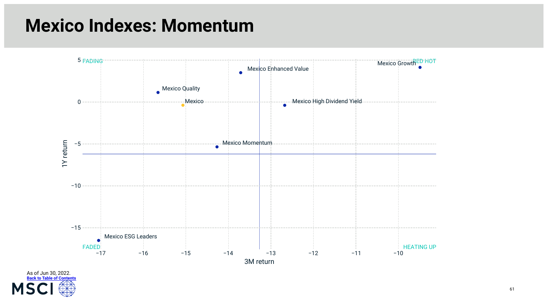### **Mexico Indexes: Momentum**



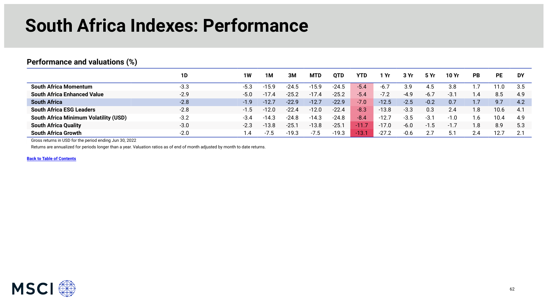### **South Africa Indexes: Performance**

#### <span id="page-61-0"></span>**Performance and valuations (%)**

|                                              | 1D     | 1W     | 1Μ      | 3Μ      | <b>MTD</b> | <b>OTD</b> | YTD     | Yr      | 3 Yr   | <b>5 Yr</b> | 10 Yr  | <b>PB</b> | <b>PE</b> | DY  |
|----------------------------------------------|--------|--------|---------|---------|------------|------------|---------|---------|--------|-------------|--------|-----------|-----------|-----|
| <b>South Africa Momentum</b>                 | $-3.3$ | $-5.3$ | $-15.9$ | $-24.5$ | $-15.9$    | $-24.5$    | $-5.4$  | -6.7    | 3.9    | 4.5         | 3.8    |           |           | 3.5 |
| <b>South Africa Enhanced Value</b>           | $-2.9$ | $-5.0$ | $-17.4$ | $-25.2$ | $-17.4$    | $-25.2$    | $-5.4$  | $-7.2$  | $-4.9$ | $-6.7$      | -3.    |           | 8.5       | 4.9 |
| <b>South Africa</b>                          | $-2.8$ | $-1.9$ | $-12.7$ | $-22.9$ | $-12.7$    | $-22.9$    | $-7.0$  | $-12.5$ | $-2.5$ | $-0.2$      | 0.7    |           | 9.7       | 4.2 |
| <b>South Africa ESG Leaders</b>              | $-2.8$ | $-1.5$ | $-12.0$ | $-22.4$ | $-12.0$    | $-22.4$    | $-8.3$  | $-13.8$ | $-3.3$ | 0.3         | 2.4    | 1.8       | 10.6      | 4.1 |
| <b>South Africa Minimum Volatility (USD)</b> | $-3.2$ | $-3.4$ | $-14.3$ | $-24.8$ | $-14.3$    | $-24.8$    | $-8.4$  | $-12.7$ | $-3.5$ | $-3.7$      | $-1.0$ | ، 6،      | 10.4      | 4.9 |
| <b>South Africa Quality</b>                  | $-3.0$ | $-2.3$ | $-13.8$ | $-25.$  | $-13.8$    | $-25.7$    | $-11.7$ | $-17.0$ | $-6.0$ | - 1         |        | 1.8       | 8.9       | 5.3 |
| <b>South Africa Growth</b>                   | $-2.0$ | l.4    | . 5     | $-19.3$ | $-7.5$     | $-19.3$    | $-13.1$ | $-27.2$ | $-0.6$ |             | 5.1    | 2.4       | 12.7      | າ 1 |

Gross returns in USD for the period ending Jun 30, 2022

Returns are annualized for periods longer than a year. Valuation ratios as of end of month adjusted by month to date returns.

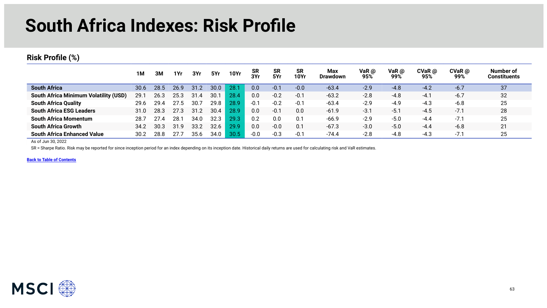### **South Africa Indexes: Risk Profile**

#### **Risk Profile (%)**

|                                              | 1M   | ЗΜ   | 1Yr  | 3Yr  | 5Yr               | <b>10Yr</b> | <b>SR</b><br>3Yr | <b>SR</b><br>5Yr | <b>SR</b><br><b>10Yr</b> | <b>Max</b><br><b>Drawdown</b> | VaR @<br>95% | VaR $\omega$<br>99% | $CVaR$ $@$<br>95% | $CVaR$ $@$<br>99% | Number of<br><b>Constituents</b> |
|----------------------------------------------|------|------|------|------|-------------------|-------------|------------------|------------------|--------------------------|-------------------------------|--------------|---------------------|-------------------|-------------------|----------------------------------|
| <b>South Africa</b>                          | 30.6 | 28.5 | 26.9 | 31.2 | 30.0 <sub>1</sub> | 28.         | 0.0              | $-0.1$           | $-0.0$                   | $-63.4$                       | $-2.9$       | $-4.8$              | $-4.2$            | $-6.7$            | 37                               |
| <b>South Africa Minimum Volatility (USD)</b> | 29.7 | 26.3 | 25.3 | 31.4 | 30.1              | 28.4        | 0.0              | $-0.2$           | $-0.1$                   | $-63.2$                       | $-2.8$       | $-4.8$              | $-4.1$            | $-6.7$            | 32                               |
| <b>South Africa Quality</b>                  | 29.6 | 29.4 | 27.5 | 30.  | 29.8              | 28.9        | $-0.1$           | $-0.2$           | $-0.1$                   | $-63.4$                       | $-2.9$       | $-4.9$              | $-4.3$            | $-6.8$            | 25                               |
| <b>South Africa ESG Leaders</b>              | 31.0 | 28.3 | 27.3 | 31.2 | 30.4              | 28.9        | 0.0              | $-0.7$           | 0.0                      | $-61.9$                       | $-3.1$       | $-5.7$              | $-4.5$            | $-7.1$            | 28                               |
| <b>South Africa Momentum</b>                 | 28.7 |      | 28.  | 34.0 | 32.3              | 29.3        | 0.2              | 0.0              | 0.1                      | $-66.9$                       | $-2.9$       | $-5.0$              | $-4.4$            | $-7.1$            | 25                               |
| <b>South Africa Growth</b>                   | 34.2 | 30.3 | 31.9 | 33.2 | 32.6              | 29.9        | 0.0              | $-0.0$           | 0.1                      | $-67.3$                       | $-3.0$       | $-5.0$              | $-4.4$            | $-6.8$            | 21                               |
| <b>South Africa Enhanced Value</b>           | 30.2 | 28.8 |      | 35.6 | 34.0              | 30.5        | $-0.0$           | $-0.3$           | $-0.1$                   | $-74.4$                       | $-2.8$       | -4.8                | -4.3              | $-7^{\circ}$      | 25                               |

As of Jun 30, 2022

SR = Sharpe Ratio. Risk may be reported for since inception period for an index depending on its inception date. Historical daily returns are used for calculating risk and VaR estimates.

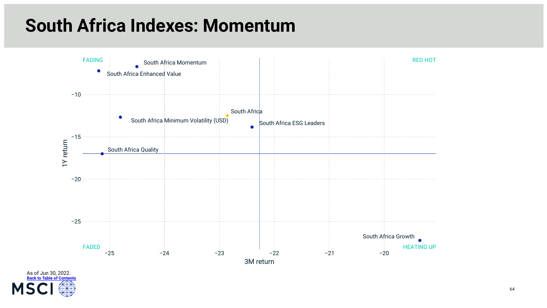### **South Africa Indexes: Momentum**



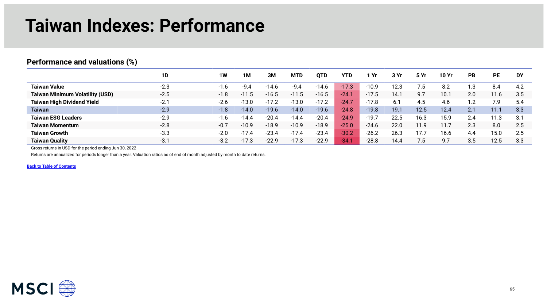### **Taiwan Indexes: Performance**

|                                        | 1D     | 1W     | 1M      | 3M      | <b>MTD</b> | <b>OTD</b> | <b>YTD</b> | l Yr    | 3 Yr | <b>5 Yr</b> | <b>10 Yr</b> | PB             | <b>PE</b> | <b>DY</b> |
|----------------------------------------|--------|--------|---------|---------|------------|------------|------------|---------|------|-------------|--------------|----------------|-----------|-----------|
| <b>Taiwan Value</b>                    | $-2.3$ | $-1.6$ | $-9.4$  | $-14.6$ | $-9.4$     | $-14.6$    | $-17.3$    | $-10.9$ | 12.3 | 7.5         | 8.2          | $\cdot$ .3     | 8.4       | 4.2       |
| <b>Taiwan Minimum Volatility (USD)</b> | $-2.5$ | $-1.8$ | $-11.5$ | $-16.5$ | $-11.5$    | $-16.5$    | $-24.1$    | $-17.5$ | 14.1 | 9.7         | 10.1         | 2.0            | 11.6      | 3.5       |
| <b>Taiwan High Dividend Yield</b>      | $-2.1$ | $-2.6$ | $-13.0$ | $-17.2$ | $-13.0$    | $-17.2$    | $-24.7$    | $-17.8$ | 6.1  | 4.5         | 4.6          | $\overline{2}$ | 7.9       | 5.4       |
| <b>Taiwan</b>                          | $-2.9$ | $-1.8$ | $-14.0$ | $-19.6$ | $-14.0$    | $-19.6$    | $-24.8$    | $-19.8$ | 19.1 | 12.5        | 12.4         | 2.1            | 11.1      | 3.3       |
| <b>Taiwan ESG Leaders</b>              | $-2.9$ | $-1.6$ | $-14.4$ | $-20.4$ | $-14.4$    | $-20.4$    | $-24.9$    | $-19.7$ | 22.5 | 16.3        | 15.9         | 2.4            | 11.3      | 3.1       |
| <b>Taiwan Momentum</b>                 | $-2.8$ | $-0.7$ | $-10.9$ | $-18.9$ | $-10.9$    | $-18.9$    | $-25.0$    | $-24.6$ | 22.0 | 11.9        | 11.7         | 2.3            | 8.0       | 2.5       |
| <b>Taiwan Growth</b>                   | $-3.3$ | $-2.0$ | $-17.4$ | $-23.4$ | $-17.4$    | $-23.4$    | $-30.2$    | $-26.2$ | 26.3 | 17.7        | 16.6         | 4.4            | 15.0      | 2.5       |
| <b>Taiwan Quality</b>                  | $-3.1$ | $-3.2$ | $-17.3$ | -22.9   | $-17.3$    | $-22.9$    | $-34.1$    | $-28.8$ | 14.4 | 7.5         | 9.7          | 3.5            | 12.5      | 3.3       |

#### <span id="page-64-0"></span>**Performance and valuations (%)**

Gross returns in USD for the period ending Jun 30, 2022

Returns are annualized for periods longer than a year. Valuation ratios as of end of month adjusted by month to date returns.

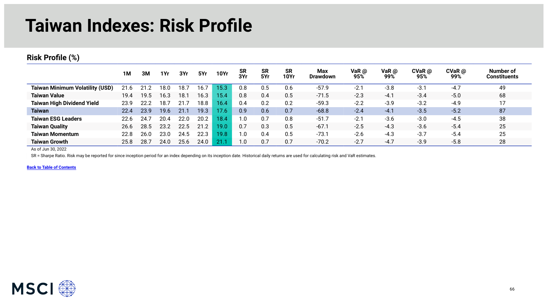### **Taiwan Indexes: Risk Profile**

#### **Risk Profile (%)**

|                                        | 1M   | 3M   | 1Yr  | 3Yr  | 5Yr  | <b>10Yr</b> | <b>SR</b><br>3Yr | <b>SR</b><br>5Yr | <b>SR</b><br><b>10Yr</b> | <b>Max</b><br><b>Drawdown</b> | VaR $@$<br>95% | VaR $\omega$<br>99% | $CVaR$ $@$<br>95% | $CVaR$ @<br>99% | Number of<br>Constituents |
|----------------------------------------|------|------|------|------|------|-------------|------------------|------------------|--------------------------|-------------------------------|----------------|---------------------|-------------------|-----------------|---------------------------|
| <b>Taiwan Minimum Volatility (USD)</b> | 21.6 |      | 18.0 | 18   | 16.7 | 15.3        |                  | 0.5              | 0.6                      | $-57.9$                       | $-2.7$         | $-3.8$              | $-3.1$            | $-4.7$          | 49                        |
| <b>Taiwan Value</b>                    | 19.4 | 19.5 | 16.3 | 18.1 | 16.3 | 15.4        | 0.8              | 0.4              | 0.5                      | $-71.5$                       | $-2.3$         | $-4.1$              | $-3.4$            | $-5.0$          | 68                        |
| <b>Taiwan High Dividend Yield</b>      | 23.9 | 22.2 | 18.7 | 21.  | 18.8 | 16.4        | 0.4              | 0.2              | 0.2                      | $-59.3$                       | $-2.2$         | $-3.9$              | $-3.2$            | $-4.9$          | 17                        |
| <b>Taiwan</b>                          | 22.4 | 23.9 | 19.6 | 21.  | 19.3 | 17.6        | 0.9              | 0.6              | 0.7                      | $-68.8$                       | $-2.4$         | $-4.1$              | $-3.5$            | $-5.2$          | 87                        |
| <b>Taiwan ESG Leaders</b>              | 22.6 | 24.  | 20.4 | 22.0 | 20.2 | 18.4        | 1.0              | 0.7              | 0.8                      | $-51.7$                       | $-2.1$         | $-3.6$              | $-3.0$            | $-4.5$          | 38                        |
| <b>Taiwan Quality</b>                  | 26.6 | 28.5 | 23.2 | 22.5 | 21.2 | 19.0        | 0.7              | 0.3              | 0.5                      | $-67.1$                       | $-2.5$         | $-4.3$              | $-3.6$            | $-5.4$          | 25                        |
| <b>Taiwan Momentum</b>                 | 22.8 | 26.0 | 23.0 | 24.5 | 22.3 | 19.8        | 1.0              | 0.4              | 0.5                      | $-73.1$                       | $-2.6$         | $-4.3$              | $-3.7$            | $-5.4$          | 25                        |
| <b>Taiwan Growth</b>                   | 25.8 | 28.  | 24.0 | 25.6 | 24.0 | 21.         | $\cdot$          | 0.7              | 0.7                      | $-70.2$                       | $-2.7$         | $-4.7$              | $-3.9$            | $-5.8$          | 28                        |

As of Jun 30, 2022

SR = Sharpe Ratio. Risk may be reported for since inception period for an index depending on its inception date. Historical daily returns are used for calculating risk and VaR estimates.

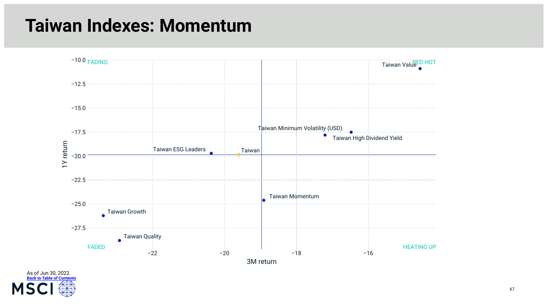### **Taiwan Indexes: Momentum**



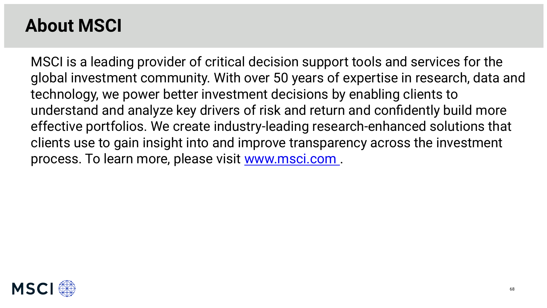### **About MSCI**

MSCI is a leading provider of critical decision support tools and services for the global investment community. With over 50 years of expertise in research, data and technology, we power better investment decisions by enabling clients to understand and analyze key drivers of risk and return and confidently build more effective portfolios. We create industry-leading research-enhanced solutions that clients use to gain insight into and improve transparency across the investment process. To learn more, please visit [www.msci.com](https://www.msci.com) .

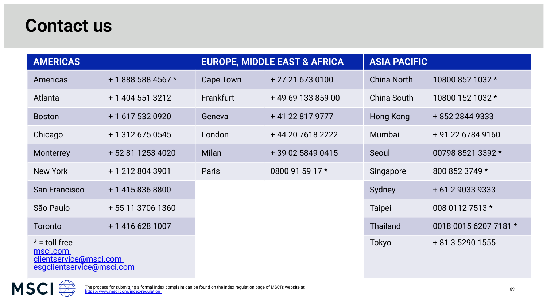#### **Contact us**

| <b>AMERICAS</b>                                                                    |                    |              | <b>EUROPE, MIDDLE EAST &amp; AFRICA</b> | <b>ASIA PACIFIC</b> |                       |  |  |
|------------------------------------------------------------------------------------|--------------------|--------------|-----------------------------------------|---------------------|-----------------------|--|--|
| Americas                                                                           | + 1 888 588 4567 * | Cape Town    | + 27 21 673 0100                        | <b>China North</b>  | 10800 852 1032 *      |  |  |
| Atlanta                                                                            | + 1 404 551 3212   | Frankfurt    | +49 69 133 859 00                       | China South         | 10800 152 1032 *      |  |  |
| <b>Boston</b>                                                                      | + 1 617 532 0920   | Geneva       | +41 22 817 9777                         | Hong Kong           | + 852 2844 9333       |  |  |
| Chicago                                                                            | + 1 312 675 0545   | London       | +44 20 7618 2222                        | Mumbai              | + 91 22 6784 9160     |  |  |
| Monterrey                                                                          | + 52 81 1253 4020  | <b>Milan</b> | +39 02 5849 0415                        | Seoul               | 00798 8521 3392 *     |  |  |
| New York                                                                           | + 1 212 804 3901   | <b>Paris</b> | 0800 91 59 17 *                         | Singapore           | 800 852 3749 *        |  |  |
| <b>San Francisco</b>                                                               | + 1 415 836 8800   |              |                                         | Sydney              | + 61 2 9033 9333      |  |  |
| São Paulo                                                                          | + 55 11 3706 1360  |              |                                         | <b>Taipei</b>       | 008 0112 7513 *       |  |  |
| Toronto                                                                            | + 1 416 628 1007   |              |                                         | <b>Thailand</b>     | 0018 0015 6207 7181 * |  |  |
| $* =$ toll free<br>msci.com<br>clientservice@msci.com<br>esgclientservice@msci.com |                    |              |                                         | Tokyo               | + 81 3 5290 1555      |  |  |